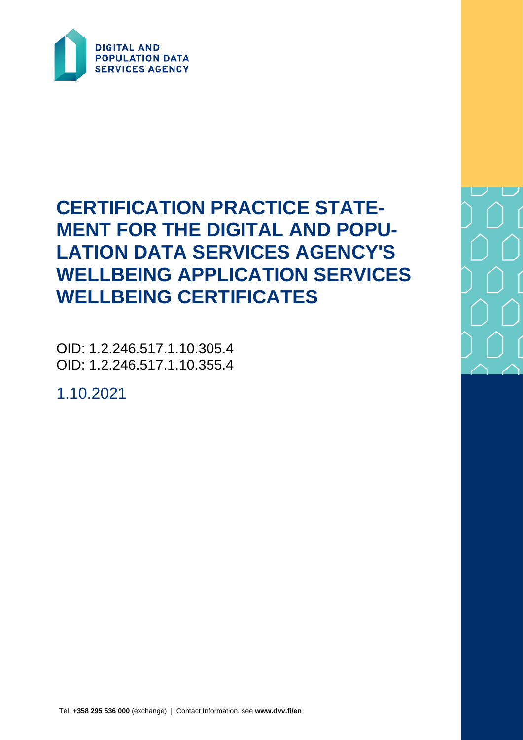

# **CERTIFICATION PRACTICE STATE-MENT FOR THE DIGITAL AND POPU-LATION DATA SERVICES AGENCY'S WELLBEING APPLICATION SERVICES WELLBEING CERTIFICATES**

OID: 1.2.246.517.1.10.305.4 OID: 1.2.246.517.1.10.355.4

1.10.2021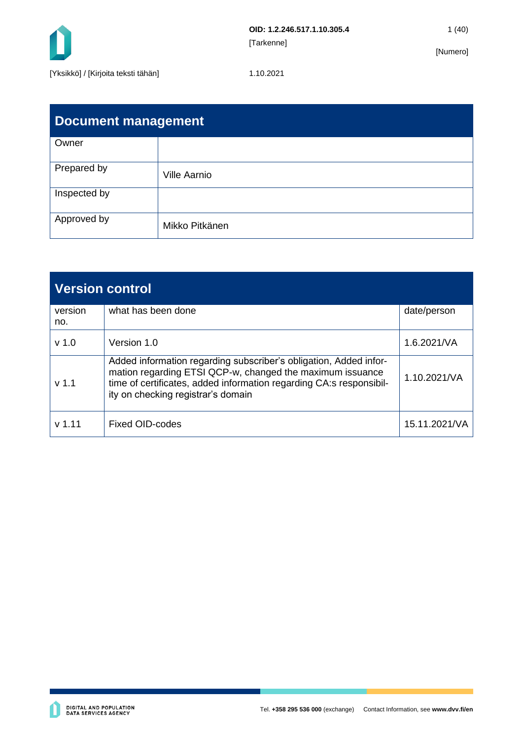

| <b>Document management</b> |                     |  |  |  |  |
|----------------------------|---------------------|--|--|--|--|
| Owner                      |                     |  |  |  |  |
| Prepared by                | <b>Ville Aarnio</b> |  |  |  |  |
| Inspected by               |                     |  |  |  |  |
| Approved by                | Mikko Pitkänen      |  |  |  |  |

| <b>Version control</b> |                                                                                                                                                                                                                                             |               |  |  |
|------------------------|---------------------------------------------------------------------------------------------------------------------------------------------------------------------------------------------------------------------------------------------|---------------|--|--|
| version<br>no.         | what has been done                                                                                                                                                                                                                          | date/person   |  |  |
| v <sub>1.0</sub>       | Version 1.0                                                                                                                                                                                                                                 | 1.6.2021/VA   |  |  |
| v <sub>1.1</sub>       | Added information regarding subscriber's obligation, Added infor-<br>mation regarding ETSI QCP-w, changed the maximum issuance<br>time of certificates, added information regarding CA:s responsibil-<br>ity on checking registrar's domain | 1.10.2021/VA  |  |  |
| $v$ 1.11               | <b>Fixed OID-codes</b>                                                                                                                                                                                                                      | 15.11.2021/VA |  |  |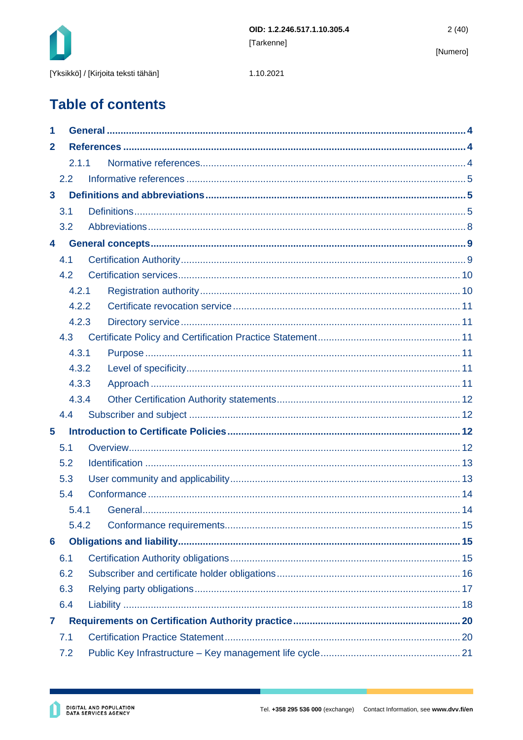

1.10.2021

**Table of contents** 

| 1              |       |  |  |  |  |  |
|----------------|-------|--|--|--|--|--|
| $\mathbf{2}$   |       |  |  |  |  |  |
|                | 2.1.1 |  |  |  |  |  |
|                | 2.2   |  |  |  |  |  |
| $\mathbf{3}$   |       |  |  |  |  |  |
|                | 3.1   |  |  |  |  |  |
|                | 3.2   |  |  |  |  |  |
| 4              |       |  |  |  |  |  |
| 4.1            |       |  |  |  |  |  |
|                | 4.2   |  |  |  |  |  |
|                | 4.2.1 |  |  |  |  |  |
|                | 4.2.2 |  |  |  |  |  |
|                | 4.2.3 |  |  |  |  |  |
|                | 4.3   |  |  |  |  |  |
|                | 4.3.1 |  |  |  |  |  |
|                | 4.3.2 |  |  |  |  |  |
|                | 4.3.3 |  |  |  |  |  |
|                | 4.3.4 |  |  |  |  |  |
|                | 4.4   |  |  |  |  |  |
| $5\phantom{1}$ |       |  |  |  |  |  |
| 5.1            |       |  |  |  |  |  |
| 5.2            |       |  |  |  |  |  |
| 5.3            |       |  |  |  |  |  |
|                | 5.4   |  |  |  |  |  |
|                |       |  |  |  |  |  |
|                | 5.4.2 |  |  |  |  |  |
| 6              |       |  |  |  |  |  |
|                | 6.1   |  |  |  |  |  |
|                | 6.2   |  |  |  |  |  |
|                | 6.3   |  |  |  |  |  |
|                | 6.4   |  |  |  |  |  |
| 7              |       |  |  |  |  |  |
|                | 7.1   |  |  |  |  |  |
|                | 7.2   |  |  |  |  |  |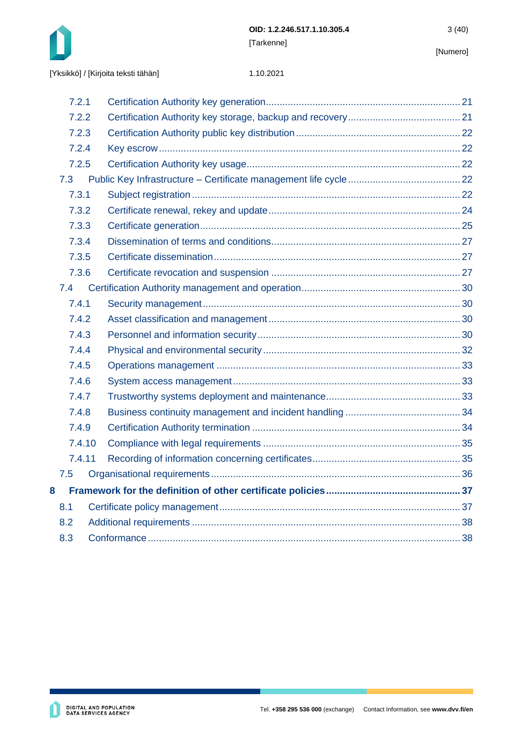

|       | 7.2.1  |  |  |  |
|-------|--------|--|--|--|
| 7.2.2 |        |  |  |  |
|       | 7.2.3  |  |  |  |
|       | 7.2.4  |  |  |  |
|       | 7.2.5  |  |  |  |
|       | 7.3    |  |  |  |
|       | 7.3.1  |  |  |  |
|       | 7.3.2  |  |  |  |
|       | 7.3.3  |  |  |  |
|       | 7.3.4  |  |  |  |
|       | 7.3.5  |  |  |  |
|       | 7.3.6  |  |  |  |
|       | 7.4    |  |  |  |
|       | 7.4.1  |  |  |  |
|       | 7.4.2  |  |  |  |
| 7.4.3 |        |  |  |  |
|       | 7.4.4  |  |  |  |
| 7.4.5 |        |  |  |  |
|       | 7.4.6  |  |  |  |
|       | 7.4.7  |  |  |  |
|       | 7.4.8  |  |  |  |
|       | 7.4.9  |  |  |  |
|       | 7.4.10 |  |  |  |
|       | 7.4.11 |  |  |  |
|       | 7.5    |  |  |  |
| 8     |        |  |  |  |
|       | 8.1    |  |  |  |
| 8.2   |        |  |  |  |
| 8.3   |        |  |  |  |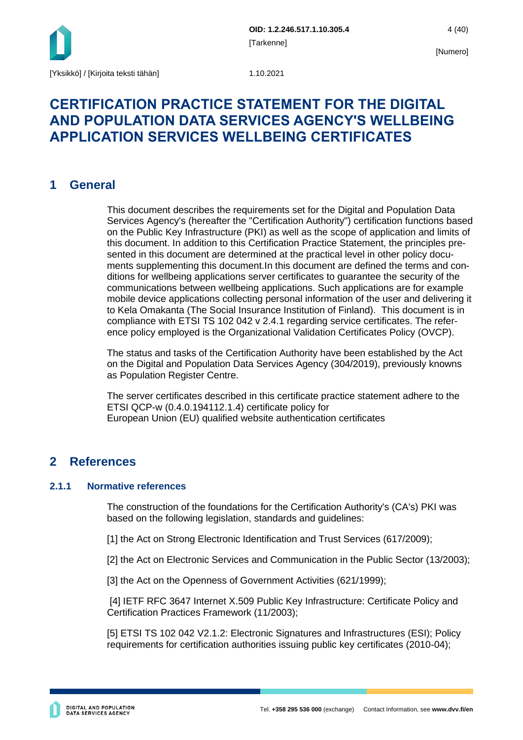

## **CERTIFICATION PRACTICE STATEMENT FOR THE DIGITAL AND POPULATION DATA SERVICES AGENCY'S WELLBEING APPLICATION SERVICES WELLBEING CERTIFICATES**

## <span id="page-4-0"></span>**1 General**

This document describes the requirements set for the Digital and Population Data Services Agency's (hereafter the "Certification Authority") certification functions based on the Public Key Infrastructure (PKI) as well as the scope of application and limits of this document. In addition to this Certification Practice Statement, the principles presented in this document are determined at the practical level in other policy documents supplementing this document.In this document are defined the terms and conditions for wellbeing applications server certificates to guarantee the security of the communications between wellbeing applications. Such applications are for example mobile device applications collecting personal information of the user and delivering it to Kela Omakanta (The Social Insurance Institution of Finland). This document is in compliance with ETSI TS 102 042 v 2.4.1 regarding service certificates. The reference policy employed is the Organizational Validation Certificates Policy (OVCP).

The status and tasks of the Certification Authority have been established by the Act on the Digital and Population Data Services Agency (304/2019), previously knowns as Population Register Centre.

The server certificates described in this certificate practice statement adhere to the ETSI QCP-w (0.4.0.194112.1.4) certificate policy for European Union (EU) qualified website authentication certificates

## <span id="page-4-1"></span>**2 References**

## <span id="page-4-2"></span>**2.1.1 Normative references**

The construction of the foundations for the Certification Authority's (CA's) PKI was based on the following legislation, standards and guidelines:

[1] the Act on Strong Electronic Identification and Trust Services (617/2009);

[2] the Act on Electronic Services and Communication in the Public Sector (13/2003);

[3] the Act on the Openness of Government Activities (621/1999);

[4] IETF RFC 3647 Internet X.509 Public Key Infrastructure: Certificate Policy and Certification Practices Framework (11/2003);

[5] ETSI TS 102 042 V2.1.2: Electronic Signatures and Infrastructures (ESI); Policy requirements for certification authorities issuing public key certificates (2010-04);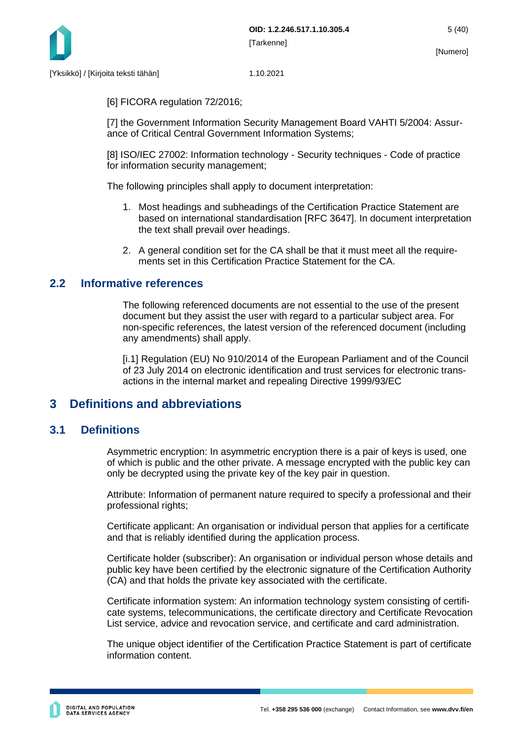

[6] FICORA regulation 72/2016;

[7] the Government Information Security Management Board VAHTI 5/2004: Assurance of Critical Central Government Information Systems;

[8] ISO/IEC 27002: Information technology - Security techniques - Code of practice for information security management;

The following principles shall apply to document interpretation:

- 1. Most headings and subheadings of the Certification Practice Statement are based on international standardisation [RFC 3647]. In document interpretation the text shall prevail over headings.
- 2. A general condition set for the CA shall be that it must meet all the requirements set in this Certification Practice Statement for the CA.

## <span id="page-5-0"></span>**2.2 Informative references**

The following referenced documents are not essential to the use of the present document but they assist the user with regard to a particular subject area. For non-specific references, the latest version of the referenced document (including any amendments) shall apply.

[i.1] Regulation (EU) No 910/2014 of the European Parliament and of the Council of 23 July 2014 on electronic identification and trust services for electronic transactions in the internal market and repealing Directive 1999/93/EC

## <span id="page-5-1"></span>**3 Definitions and abbreviations**

## <span id="page-5-2"></span>**3.1 Definitions**

Asymmetric encryption: In asymmetric encryption there is a pair of keys is used, one of which is public and the other private. A message encrypted with the public key can only be decrypted using the private key of the key pair in question.

Attribute: Information of permanent nature required to specify a professional and their professional rights;

Certificate applicant: An organisation or individual person that applies for a certificate and that is reliably identified during the application process.

Certificate holder (subscriber): An organisation or individual person whose details and public key have been certified by the electronic signature of the Certification Authority (CA) and that holds the private key associated with the certificate.

Certificate information system: An information technology system consisting of certificate systems, telecommunications, the certificate directory and Certificate Revocation List service, advice and revocation service, and certificate and card administration.

The unique object identifier of the Certification Practice Statement is part of certificate information content.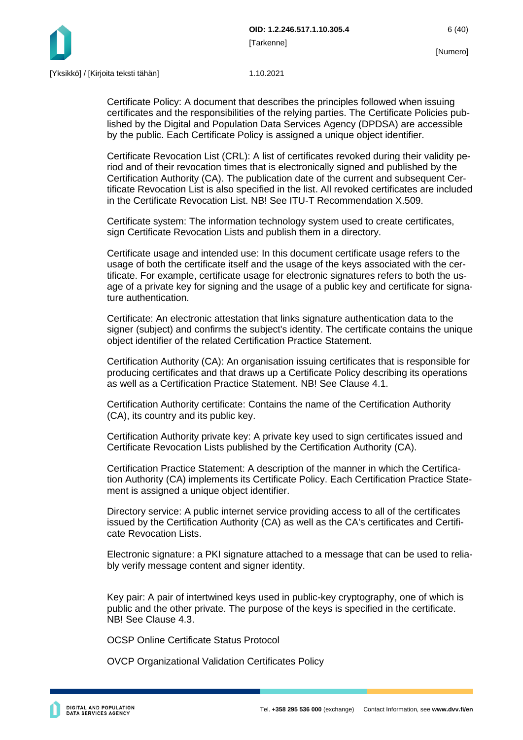

Certificate Policy: A document that describes the principles followed when issuing certificates and the responsibilities of the relying parties. The Certificate Policies published by the Digital and Population Data Services Agency (DPDSA) are accessible by the public. Each Certificate Policy is assigned a unique object identifier.

Certificate Revocation List (CRL): A list of certificates revoked during their validity period and of their revocation times that is electronically signed and published by the Certification Authority (CA). The publication date of the current and subsequent Certificate Revocation List is also specified in the list. All revoked certificates are included in the Certificate Revocation List. NBL See ITU-T Recommendation X.509.

Certificate system: The information technology system used to create certificates, sign Certificate Revocation Lists and publish them in a directory.

Certificate usage and intended use: In this document certificate usage refers to the usage of both the certificate itself and the usage of the keys associated with the certificate. For example, certificate usage for electronic signatures refers to both the usage of a private key for signing and the usage of a public key and certificate for signature authentication.

Certificate: An electronic attestation that links signature authentication data to the signer (subject) and confirms the subject's identity. The certificate contains the unique object identifier of the related Certification Practice Statement.

Certification Authority (CA): An organisation issuing certificates that is responsible for producing certificates and that draws up a Certificate Policy describing its operations as well as a Certification Practice Statement. NB! See Clause 4.1.

Certification Authority certificate: Contains the name of the Certification Authority (CA), its country and its public key.

Certification Authority private key: A private key used to sign certificates issued and Certificate Revocation Lists published by the Certification Authority (CA).

Certification Practice Statement: A description of the manner in which the Certification Authority (CA) implements its Certificate Policy. Each Certification Practice Statement is assigned a unique object identifier.

Directory service: A public internet service providing access to all of the certificates issued by the Certification Authority (CA) as well as the CA's certificates and Certificate Revocation Lists.

Electronic signature: a PKI signature attached to a message that can be used to reliably verify message content and signer identity.

Key pair: A pair of intertwined keys used in public-key cryptography, one of which is public and the other private. The purpose of the keys is specified in the certificate. NB! See Clause 4.3.

OCSP Online Certificate Status Protocol

OVCP Organizational Validation Certificates Policy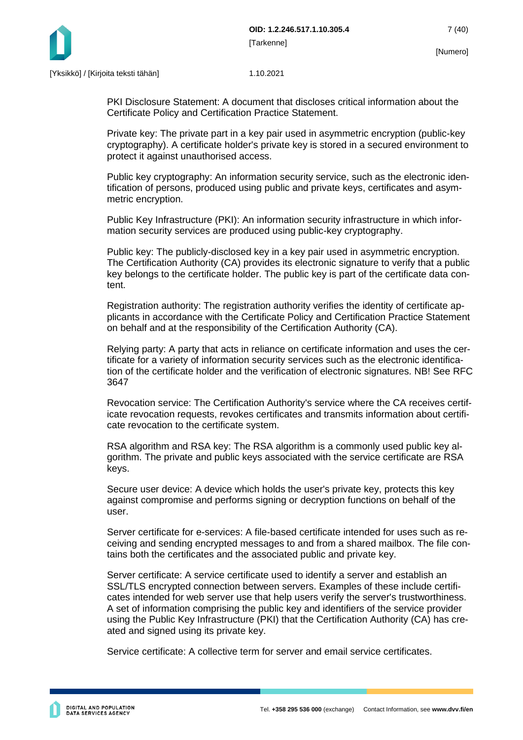

PKI Disclosure Statement: A document that discloses critical information about the Certificate Policy and Certification Practice Statement.

Private key: The private part in a key pair used in asymmetric encryption (public-key cryptography). A certificate holder's private key is stored in a secured environment to protect it against unauthorised access.

Public key cryptography: An information security service, such as the electronic identification of persons, produced using public and private keys, certificates and asymmetric encryption.

Public Key Infrastructure (PKI): An information security infrastructure in which information security services are produced using public-key cryptography.

Public key: The publicly-disclosed key in a key pair used in asymmetric encryption. The Certification Authority (CA) provides its electronic signature to verify that a public key belongs to the certificate holder. The public key is part of the certificate data content.

Registration authority: The registration authority verifies the identity of certificate applicants in accordance with the Certificate Policy and Certification Practice Statement on behalf and at the responsibility of the Certification Authority (CA).

Relying party: A party that acts in reliance on certificate information and uses the certificate for a variety of information security services such as the electronic identification of the certificate holder and the verification of electronic signatures. NB! See RFC 3647

Revocation service: The Certification Authority's service where the CA receives certificate revocation requests, revokes certificates and transmits information about certificate revocation to the certificate system.

RSA algorithm and RSA key: The RSA algorithm is a commonly used public key algorithm. The private and public keys associated with the service certificate are RSA keys.

Secure user device: A device which holds the user's private key, protects this key against compromise and performs signing or decryption functions on behalf of the user.

Server certificate for e-services: A file-based certificate intended for uses such as receiving and sending encrypted messages to and from a shared mailbox. The file contains both the certificates and the associated public and private key.

Server certificate: A service certificate used to identify a server and establish an SSL/TLS encrypted connection between servers. Examples of these include certificates intended for web server use that help users verify the server's trustworthiness. A set of information comprising the public key and identifiers of the service provider using the Public Key Infrastructure (PKI) that the Certification Authority (CA) has created and signed using its private key.

Service certificate: A collective term for server and email service certificates.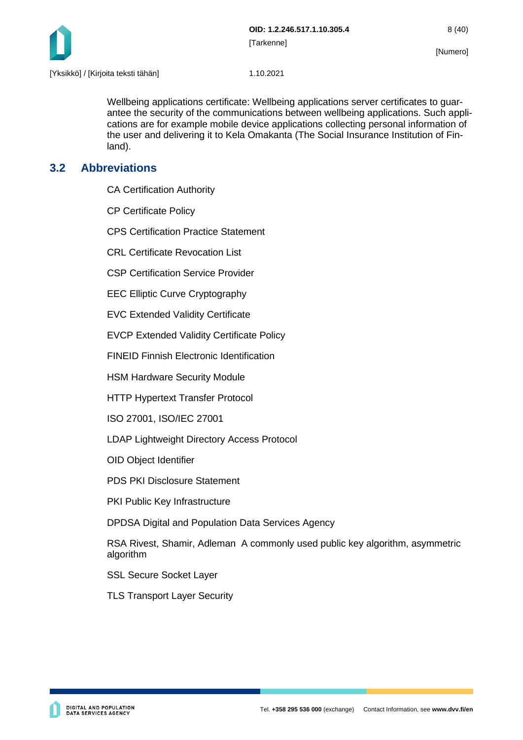

Wellbeing applications certificate: Wellbeing applications server certificates to guarantee the security of the communications between wellbeing applications. Such applications are for example mobile device applications collecting personal information of the user and delivering it to Kela Omakanta (The Social Insurance Institution of Finland).

## <span id="page-8-0"></span>**3.2 Abbreviations**

CA Certification Authority

CP Certificate Policy

CPS Certification Practice Statement

CRL Certificate Revocation List

CSP Certification Service Provider

EEC Elliptic Curve Cryptography

EVC Extended Validity Certificate

EVCP Extended Validity Certificate Policy

FINEID Finnish Electronic Identification

HSM Hardware Security Module

HTTP Hypertext Transfer Protocol

ISO 27001, ISO/IEC 27001

LDAP Lightweight Directory Access Protocol

OID Object Identifier

PDS PKI Disclosure Statement

PKI Public Key Infrastructure

DPDSA Digital and Population Data Services Agency

RSA Rivest, Shamir, Adleman A commonly used public key algorithm, asymmetric algorithm

SSL Secure Socket Layer

TLS Transport Layer Security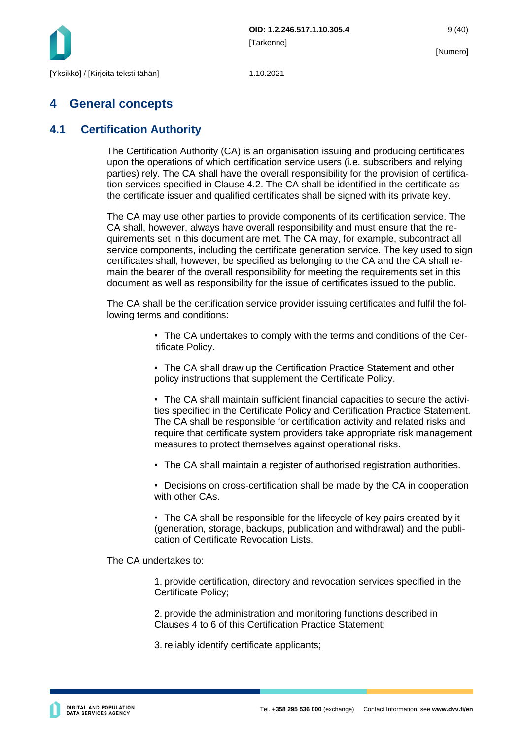

## <span id="page-9-0"></span>**4 General concepts**

## <span id="page-9-1"></span>**4.1 Certification Authority**

The Certification Authority (CA) is an organisation issuing and producing certificates upon the operations of which certification service users (i.e. subscribers and relying parties) rely. The CA shall have the overall responsibility for the provision of certification services specified in Clause 4.2. The CA shall be identified in the certificate as the certificate issuer and qualified certificates shall be signed with its private key.

The CA may use other parties to provide components of its certification service. The CA shall, however, always have overall responsibility and must ensure that the requirements set in this document are met. The CA may, for example, subcontract all service components, including the certificate generation service. The key used to sign certificates shall, however, be specified as belonging to the CA and the CA shall remain the bearer of the overall responsibility for meeting the requirements set in this document as well as responsibility for the issue of certificates issued to the public.

The CA shall be the certification service provider issuing certificates and fulfil the following terms and conditions:

> • The CA undertakes to comply with the terms and conditions of the Certificate Policy.

• The CA shall draw up the Certification Practice Statement and other policy instructions that supplement the Certificate Policy.

• The CA shall maintain sufficient financial capacities to secure the activities specified in the Certificate Policy and Certification Practice Statement. The CA shall be responsible for certification activity and related risks and require that certificate system providers take appropriate risk management measures to protect themselves against operational risks.

• The CA shall maintain a register of authorised registration authorities.

• Decisions on cross-certification shall be made by the CA in cooperation with other CAs.

• The CA shall be responsible for the lifecycle of key pairs created by it (generation, storage, backups, publication and withdrawal) and the publication of Certificate Revocation Lists.

The CA undertakes to:

1. provide certification, directory and revocation services specified in the Certificate Policy;

2. provide the administration and monitoring functions described in Clauses 4 to 6 of this Certification Practice Statement;

3. reliably identify certificate applicants;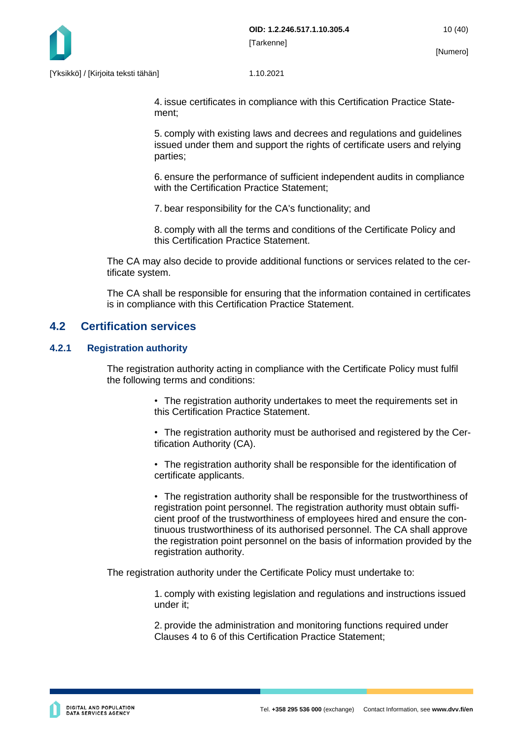

4. issue certificates in compliance with this Certification Practice Statement;

5. comply with existing laws and decrees and regulations and guidelines issued under them and support the rights of certificate users and relying parties;

6. ensure the performance of sufficient independent audits in compliance with the Certification Practice Statement;

7. bear responsibility for the CA's functionality; and

8. comply with all the terms and conditions of the Certificate Policy and this Certification Practice Statement.

The CA may also decide to provide additional functions or services related to the certificate system.

The CA shall be responsible for ensuring that the information contained in certificates is in compliance with this Certification Practice Statement.

## <span id="page-10-0"></span>**4.2 Certification services**

#### <span id="page-10-1"></span>**4.2.1 Registration authority**

The registration authority acting in compliance with the Certificate Policy must fulfil the following terms and conditions:

- The registration authority undertakes to meet the requirements set in this Certification Practice Statement.
- The registration authority must be authorised and registered by the Certification Authority (CA).

• The registration authority shall be responsible for the identification of certificate applicants.

• The registration authority shall be responsible for the trustworthiness of registration point personnel. The registration authority must obtain sufficient proof of the trustworthiness of employees hired and ensure the continuous trustworthiness of its authorised personnel. The CA shall approve the registration point personnel on the basis of information provided by the registration authority.

The registration authority under the Certificate Policy must undertake to:

1. comply with existing legislation and regulations and instructions issued under it;

2. provide the administration and monitoring functions required under Clauses 4 to 6 of this Certification Practice Statement;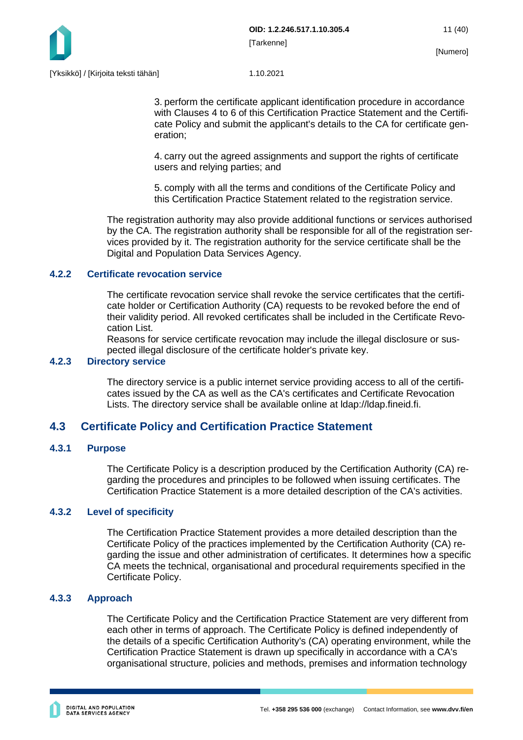

3. perform the certificate applicant identification procedure in accordance with Clauses 4 to 6 of this Certification Practice Statement and the Certificate Policy and submit the applicant's details to the CA for certificate generation;

4. carry out the agreed assignments and support the rights of certificate users and relying parties; and

5. comply with all the terms and conditions of the Certificate Policy and this Certification Practice Statement related to the registration service.

The registration authority may also provide additional functions or services authorised by the CA. The registration authority shall be responsible for all of the registration services provided by it. The registration authority for the service certificate shall be the Digital and Population Data Services Agency.

#### <span id="page-11-0"></span>**4.2.2 Certificate revocation service**

The certificate revocation service shall revoke the service certificates that the certificate holder or Certification Authority (CA) requests to be revoked before the end of their validity period. All revoked certificates shall be included in the Certificate Revocation List.

Reasons for service certificate revocation may include the illegal disclosure or suspected illegal disclosure of the certificate holder's private key.

### <span id="page-11-1"></span>**4.2.3 Directory service**

The directory service is a public internet service providing access to all of the certificates issued by the CA as well as the CA's certificates and Certificate Revocation Lists. The directory service shall be available online at ldap://ldap.fineid.fi.

## <span id="page-11-2"></span>**4.3 Certificate Policy and Certification Practice Statement**

### <span id="page-11-3"></span>**4.3.1 Purpose**

The Certificate Policy is a description produced by the Certification Authority (CA) regarding the procedures and principles to be followed when issuing certificates. The Certification Practice Statement is a more detailed description of the CA's activities.

#### <span id="page-11-4"></span>**4.3.2 Level of specificity**

The Certification Practice Statement provides a more detailed description than the Certificate Policy of the practices implemented by the Certification Authority (CA) regarding the issue and other administration of certificates. It determines how a specific CA meets the technical, organisational and procedural requirements specified in the Certificate Policy.

#### <span id="page-11-5"></span>**4.3.3 Approach**

The Certificate Policy and the Certification Practice Statement are very different from each other in terms of approach. The Certificate Policy is defined independently of the details of a specific Certification Authority's (CA) operating environment, while the Certification Practice Statement is drawn up specifically in accordance with a CA's organisational structure, policies and methods, premises and information technology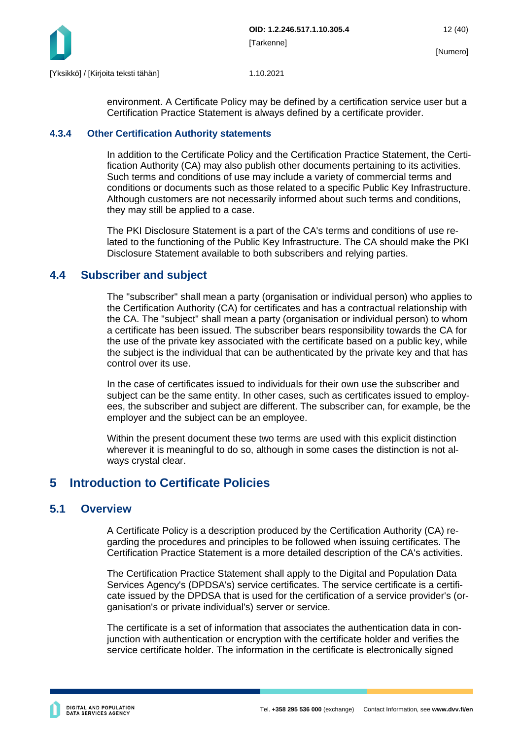

environment. A Certificate Policy may be defined by a certification service user but a Certification Practice Statement is always defined by a certificate provider.

#### <span id="page-12-0"></span>**4.3.4 Other Certification Authority statements**

In addition to the Certificate Policy and the Certification Practice Statement, the Certification Authority (CA) may also publish other documents pertaining to its activities. Such terms and conditions of use may include a variety of commercial terms and conditions or documents such as those related to a specific Public Key Infrastructure. Although customers are not necessarily informed about such terms and conditions, they may still be applied to a case.

The PKI Disclosure Statement is a part of the CA's terms and conditions of use related to the functioning of the Public Key Infrastructure. The CA should make the PKI Disclosure Statement available to both subscribers and relying parties.

## <span id="page-12-1"></span>**4.4 Subscriber and subject**

The "subscriber" shall mean a party (organisation or individual person) who applies to the Certification Authority (CA) for certificates and has a contractual relationship with the CA. The "subject" shall mean a party (organisation or individual person) to whom a certificate has been issued. The subscriber bears responsibility towards the CA for the use of the private key associated with the certificate based on a public key, while the subject is the individual that can be authenticated by the private key and that has control over its use.

In the case of certificates issued to individuals for their own use the subscriber and subject can be the same entity. In other cases, such as certificates issued to employees, the subscriber and subject are different. The subscriber can, for example, be the employer and the subject can be an employee.

Within the present document these two terms are used with this explicit distinction wherever it is meaningful to do so, although in some cases the distinction is not always crystal clear.

## <span id="page-12-2"></span>**5 Introduction to Certificate Policies**

## <span id="page-12-3"></span>**5.1 Overview**

A Certificate Policy is a description produced by the Certification Authority (CA) regarding the procedures and principles to be followed when issuing certificates. The Certification Practice Statement is a more detailed description of the CA's activities.

The Certification Practice Statement shall apply to the Digital and Population Data Services Agency's (DPDSA's) service certificates. The service certificate is a certificate issued by the DPDSA that is used for the certification of a service provider's (organisation's or private individual's) server or service.

The certificate is a set of information that associates the authentication data in conjunction with authentication or encryption with the certificate holder and verifies the service certificate holder. The information in the certificate is electronically signed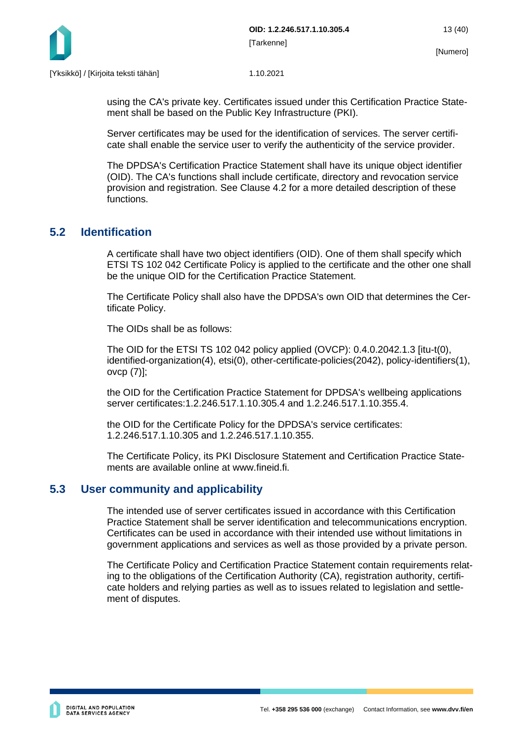

using the CA's private key. Certificates issued under this Certification Practice Statement shall be based on the Public Key Infrastructure (PKI).

Server certificates may be used for the identification of services. The server certificate shall enable the service user to verify the authenticity of the service provider.

The DPDSA's Certification Practice Statement shall have its unique object identifier (OID). The CA's functions shall include certificate, directory and revocation service provision and registration. See Clause 4.2 for a more detailed description of these functions.

## <span id="page-13-0"></span>**5.2 Identification**

A certificate shall have two object identifiers (OID). One of them shall specify which ETSI TS 102 042 Certificate Policy is applied to the certificate and the other one shall be the unique OID for the Certification Practice Statement.

The Certificate Policy shall also have the DPDSA's own OID that determines the Certificate Policy.

The OIDs shall be as follows:

The OID for the ETSI TS 102 042 policy applied (OVCP): 0.4.0.2042.1.3 [itu-t(0), identified-organization(4), etsi(0), other-certificate-policies(2042), policy-identifiers(1), ovcp (7)];

the OID for the Certification Practice Statement for DPDSA's wellbeing applications server certificates:1.2.246.517.1.10.305.4 and 1.2.246.517.1.10.355.4.

the OID for the Certificate Policy for the DPDSA's service certificates: 1.2.246.517.1.10.305 and 1.2.246.517.1.10.355.

The Certificate Policy, its PKI Disclosure Statement and Certification Practice Statements are available online at www.fineid.fi.

## <span id="page-13-1"></span>**5.3 User community and applicability**

The intended use of server certificates issued in accordance with this Certification Practice Statement shall be server identification and telecommunications encryption. Certificates can be used in accordance with their intended use without limitations in government applications and services as well as those provided by a private person.

The Certificate Policy and Certification Practice Statement contain requirements relating to the obligations of the Certification Authority (CA), registration authority, certificate holders and relying parties as well as to issues related to legislation and settlement of disputes.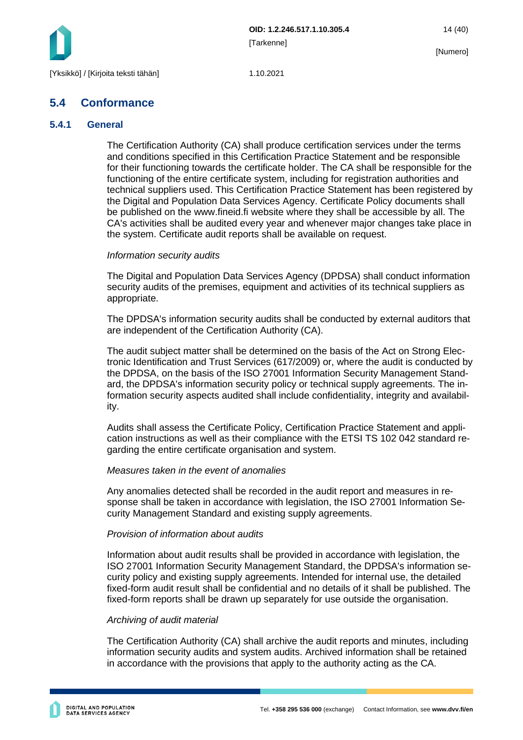

## <span id="page-14-0"></span>**5.4 Conformance**

#### <span id="page-14-1"></span>**5.4.1 General**

The Certification Authority (CA) shall produce certification services under the terms and conditions specified in this Certification Practice Statement and be responsible for their functioning towards the certificate holder. The CA shall be responsible for the functioning of the entire certificate system, including for registration authorities and technical suppliers used. This Certification Practice Statement has been registered by the Digital and Population Data Services Agency. Certificate Policy documents shall be published on the www.fineid.fi website where they shall be accessible by all. The CA's activities shall be audited every year and whenever major changes take place in the system. Certificate audit reports shall be available on request.

#### *Information security audits*

The Digital and Population Data Services Agency (DPDSA) shall conduct information security audits of the premises, equipment and activities of its technical suppliers as appropriate.

The DPDSA's information security audits shall be conducted by external auditors that are independent of the Certification Authority (CA).

The audit subject matter shall be determined on the basis of the Act on Strong Electronic Identification and Trust Services (617/2009) or, where the audit is conducted by the DPDSA, on the basis of the ISO 27001 Information Security Management Standard, the DPDSA's information security policy or technical supply agreements. The information security aspects audited shall include confidentiality, integrity and availability.

Audits shall assess the Certificate Policy, Certification Practice Statement and application instructions as well as their compliance with the ETSI TS 102 042 standard regarding the entire certificate organisation and system.

#### *Measures taken in the event of anomalies*

Any anomalies detected shall be recorded in the audit report and measures in response shall be taken in accordance with legislation, the ISO 27001 Information Security Management Standard and existing supply agreements.

#### *Provision of information about audits*

Information about audit results shall be provided in accordance with legislation, the ISO 27001 Information Security Management Standard, the DPDSA's information security policy and existing supply agreements. Intended for internal use, the detailed fixed-form audit result shall be confidential and no details of it shall be published. The fixed-form reports shall be drawn up separately for use outside the organisation.

#### *Archiving of audit material*

The Certification Authority (CA) shall archive the audit reports and minutes, including information security audits and system audits. Archived information shall be retained in accordance with the provisions that apply to the authority acting as the CA.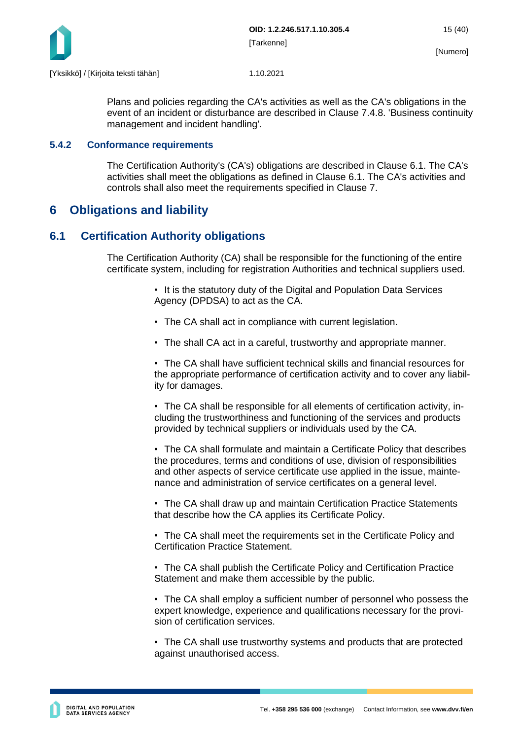

Plans and policies regarding the CA's activities as well as the CA's obligations in the event of an incident or disturbance are described in Clause 7.4.8. 'Business continuity management and incident handling'.

#### <span id="page-15-0"></span>**5.4.2 Conformance requirements**

The Certification Authority's (CA's) obligations are described in Clause 6.1. The CA's activities shall meet the obligations as defined in Clause 6.1. The CA's activities and controls shall also meet the requirements specified in Clause 7.

## <span id="page-15-1"></span>**6 Obligations and liability**

## <span id="page-15-2"></span>**6.1 Certification Authority obligations**

The Certification Authority (CA) shall be responsible for the functioning of the entire certificate system, including for registration Authorities and technical suppliers used.

> • It is the statutory duty of the Digital and Population Data Services Agency (DPDSA) to act as the CA.

- The CA shall act in compliance with current legislation.
- The shall CA act in a careful, trustworthy and appropriate manner.

• The CA shall have sufficient technical skills and financial resources for the appropriate performance of certification activity and to cover any liability for damages.

• The CA shall be responsible for all elements of certification activity, including the trustworthiness and functioning of the services and products provided by technical suppliers or individuals used by the CA.

• The CA shall formulate and maintain a Certificate Policy that describes the procedures, terms and conditions of use, division of responsibilities and other aspects of service certificate use applied in the issue, maintenance and administration of service certificates on a general level.

• The CA shall draw up and maintain Certification Practice Statements that describe how the CA applies its Certificate Policy.

• The CA shall meet the requirements set in the Certificate Policy and Certification Practice Statement.

• The CA shall publish the Certificate Policy and Certification Practice Statement and make them accessible by the public.

• The CA shall employ a sufficient number of personnel who possess the expert knowledge, experience and qualifications necessary for the provision of certification services.

• The CA shall use trustworthy systems and products that are protected against unauthorised access.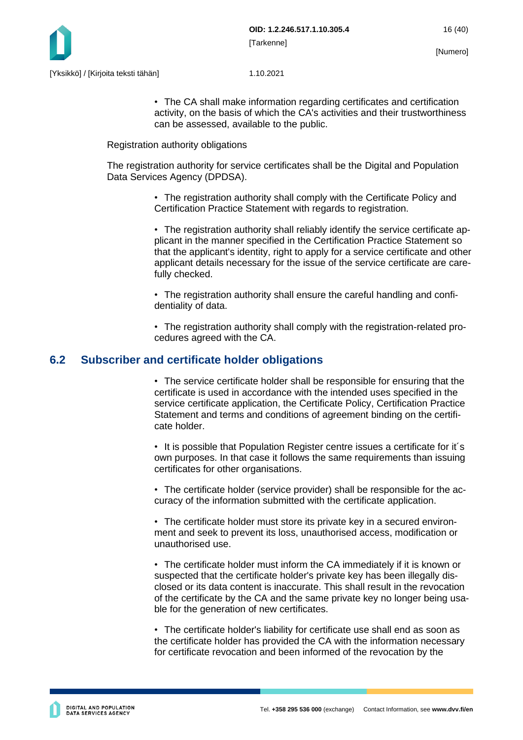

• The CA shall make information regarding certificates and certification activity, on the basis of which the CA's activities and their trustworthiness can be assessed, available to the public.

Registration authority obligations

The registration authority for service certificates shall be the Digital and Population Data Services Agency (DPDSA).

> • The registration authority shall comply with the Certificate Policy and Certification Practice Statement with regards to registration.

• The registration authority shall reliably identify the service certificate applicant in the manner specified in the Certification Practice Statement so that the applicant's identity, right to apply for a service certificate and other applicant details necessary for the issue of the service certificate are carefully checked.

• The registration authority shall ensure the careful handling and confidentiality of data.

• The registration authority shall comply with the registration-related procedures agreed with the CA.

## <span id="page-16-0"></span>**6.2 Subscriber and certificate holder obligations**

• The service certificate holder shall be responsible for ensuring that the certificate is used in accordance with the intended uses specified in the service certificate application, the Certificate Policy, Certification Practice Statement and terms and conditions of agreement binding on the certificate holder.

• It is possible that Population Register centre issues a certificate for it´s own purposes. In that case it follows the same requirements than issuing certificates for other organisations.

• The certificate holder (service provider) shall be responsible for the accuracy of the information submitted with the certificate application.

• The certificate holder must store its private key in a secured environment and seek to prevent its loss, unauthorised access, modification or unauthorised use.

• The certificate holder must inform the CA immediately if it is known or suspected that the certificate holder's private key has been illegally disclosed or its data content is inaccurate. This shall result in the revocation of the certificate by the CA and the same private key no longer being usable for the generation of new certificates.

• The certificate holder's liability for certificate use shall end as soon as the certificate holder has provided the CA with the information necessary for certificate revocation and been informed of the revocation by the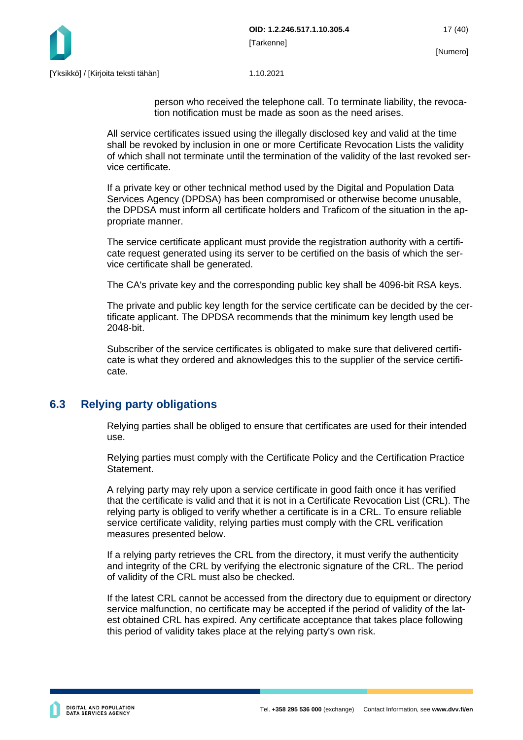

person who received the telephone call. To terminate liability, the revocation notification must be made as soon as the need arises.

All service certificates issued using the illegally disclosed key and valid at the time shall be revoked by inclusion in one or more Certificate Revocation Lists the validity of which shall not terminate until the termination of the validity of the last revoked service certificate.

If a private key or other technical method used by the Digital and Population Data Services Agency (DPDSA) has been compromised or otherwise become unusable, the DPDSA must inform all certificate holders and Traficom of the situation in the appropriate manner.

The service certificate applicant must provide the registration authority with a certificate request generated using its server to be certified on the basis of which the service certificate shall be generated.

The CA's private key and the corresponding public key shall be 4096-bit RSA keys.

The private and public key length for the service certificate can be decided by the certificate applicant. The DPDSA recommends that the minimum key length used be 2048-bit.

Subscriber of the service certificates is obligated to make sure that delivered certificate is what they ordered and aknowledges this to the supplier of the service certificate.

## <span id="page-17-0"></span>**6.3 Relying party obligations**

Relying parties shall be obliged to ensure that certificates are used for their intended use.

Relying parties must comply with the Certificate Policy and the Certification Practice Statement.

A relying party may rely upon a service certificate in good faith once it has verified that the certificate is valid and that it is not in a Certificate Revocation List (CRL). The relying party is obliged to verify whether a certificate is in a CRL. To ensure reliable service certificate validity, relying parties must comply with the CRL verification measures presented below.

If a relying party retrieves the CRL from the directory, it must verify the authenticity and integrity of the CRL by verifying the electronic signature of the CRL. The period of validity of the CRL must also be checked.

If the latest CRL cannot be accessed from the directory due to equipment or directory service malfunction, no certificate may be accepted if the period of validity of the latest obtained CRL has expired. Any certificate acceptance that takes place following this period of validity takes place at the relying party's own risk.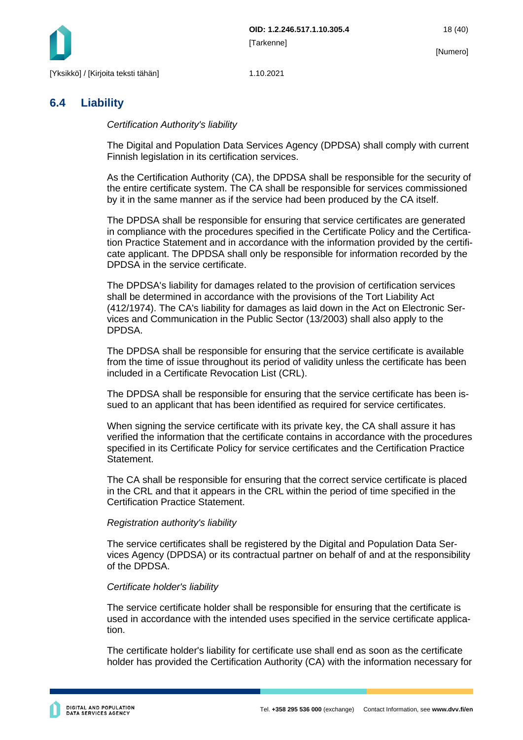

## <span id="page-18-0"></span>**6.4 Liability**

*Certification Authority's liability*

The Digital and Population Data Services Agency (DPDSA) shall comply with current Finnish legislation in its certification services.

As the Certification Authority (CA), the DPDSA shall be responsible for the security of the entire certificate system. The CA shall be responsible for services commissioned by it in the same manner as if the service had been produced by the CA itself.

The DPDSA shall be responsible for ensuring that service certificates are generated in compliance with the procedures specified in the Certificate Policy and the Certification Practice Statement and in accordance with the information provided by the certificate applicant. The DPDSA shall only be responsible for information recorded by the DPDSA in the service certificate.

The DPDSA's liability for damages related to the provision of certification services shall be determined in accordance with the provisions of the Tort Liability Act (412/1974). The CA's liability for damages as laid down in the Act on Electronic Services and Communication in the Public Sector (13/2003) shall also apply to the DPDSA.

The DPDSA shall be responsible for ensuring that the service certificate is available from the time of issue throughout its period of validity unless the certificate has been included in a Certificate Revocation List (CRL).

The DPDSA shall be responsible for ensuring that the service certificate has been issued to an applicant that has been identified as required for service certificates.

When signing the service certificate with its private key, the CA shall assure it has verified the information that the certificate contains in accordance with the procedures specified in its Certificate Policy for service certificates and the Certification Practice Statement.

The CA shall be responsible for ensuring that the correct service certificate is placed in the CRL and that it appears in the CRL within the period of time specified in the Certification Practice Statement.

#### *Registration authority's liability*

The service certificates shall be registered by the Digital and Population Data Services Agency (DPDSA) or its contractual partner on behalf of and at the responsibility of the DPDSA.

#### *Certificate holder's liability*

The service certificate holder shall be responsible for ensuring that the certificate is used in accordance with the intended uses specified in the service certificate application.

The certificate holder's liability for certificate use shall end as soon as the certificate holder has provided the Certification Authority (CA) with the information necessary for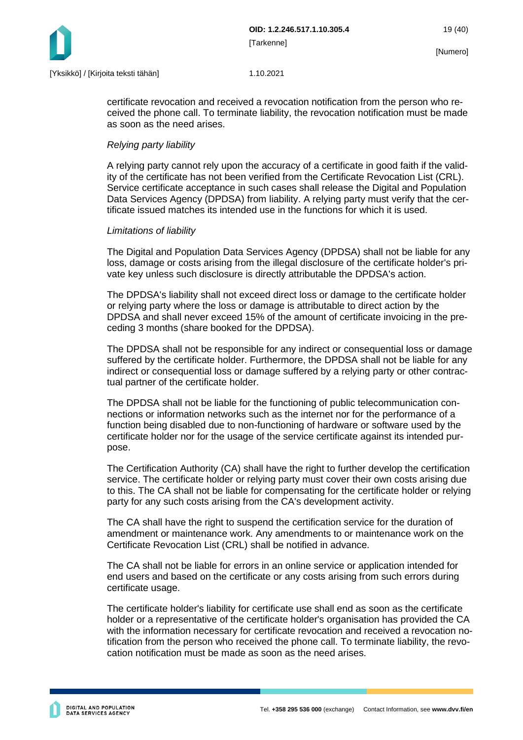

certificate revocation and received a revocation notification from the person who received the phone call. To terminate liability, the revocation notification must be made as soon as the need arises.

### *Relying party liability*

A relying party cannot rely upon the accuracy of a certificate in good faith if the validity of the certificate has not been verified from the Certificate Revocation List (CRL). Service certificate acceptance in such cases shall release the Digital and Population Data Services Agency (DPDSA) from liability. A relying party must verify that the certificate issued matches its intended use in the functions for which it is used.

#### *Limitations of liability*

The Digital and Population Data Services Agency (DPDSA) shall not be liable for any loss, damage or costs arising from the illegal disclosure of the certificate holder's private key unless such disclosure is directly attributable the DPDSA's action.

The DPDSA's liability shall not exceed direct loss or damage to the certificate holder or relying party where the loss or damage is attributable to direct action by the DPDSA and shall never exceed 15% of the amount of certificate invoicing in the preceding 3 months (share booked for the DPDSA).

The DPDSA shall not be responsible for any indirect or consequential loss or damage suffered by the certificate holder. Furthermore, the DPDSA shall not be liable for any indirect or consequential loss or damage suffered by a relying party or other contractual partner of the certificate holder.

The DPDSA shall not be liable for the functioning of public telecommunication connections or information networks such as the internet nor for the performance of a function being disabled due to non-functioning of hardware or software used by the certificate holder nor for the usage of the service certificate against its intended purpose.

The Certification Authority (CA) shall have the right to further develop the certification service. The certificate holder or relying party must cover their own costs arising due to this. The CA shall not be liable for compensating for the certificate holder or relying party for any such costs arising from the CA's development activity.

The CA shall have the right to suspend the certification service for the duration of amendment or maintenance work. Any amendments to or maintenance work on the Certificate Revocation List (CRL) shall be notified in advance.

The CA shall not be liable for errors in an online service or application intended for end users and based on the certificate or any costs arising from such errors during certificate usage.

The certificate holder's liability for certificate use shall end as soon as the certificate holder or a representative of the certificate holder's organisation has provided the CA with the information necessary for certificate revocation and received a revocation notification from the person who received the phone call. To terminate liability, the revocation notification must be made as soon as the need arises.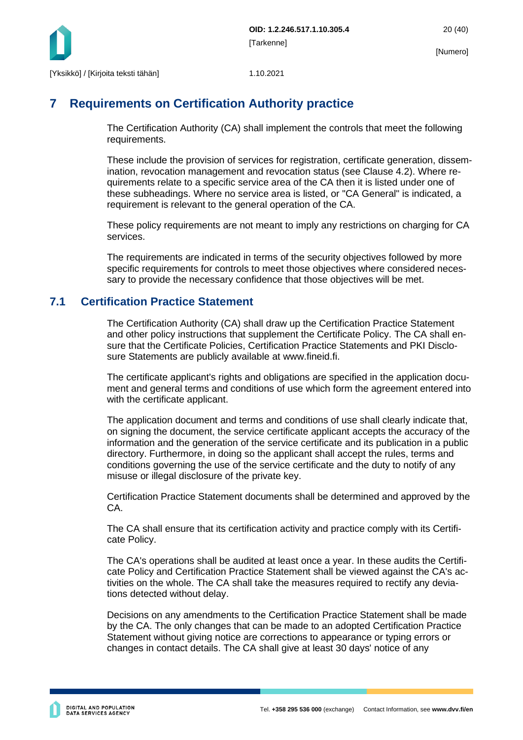

## <span id="page-20-0"></span>**7 Requirements on Certification Authority practice**

The Certification Authority (CA) shall implement the controls that meet the following requirements.

These include the provision of services for registration, certificate generation, dissemination, revocation management and revocation status (see Clause 4.2). Where requirements relate to a specific service area of the CA then it is listed under one of these subheadings. Where no service area is listed, or "CA General" is indicated, a requirement is relevant to the general operation of the CA.

These policy requirements are not meant to imply any restrictions on charging for CA services.

The requirements are indicated in terms of the security objectives followed by more specific requirements for controls to meet those objectives where considered necessary to provide the necessary confidence that those objectives will be met.

## <span id="page-20-1"></span>**7.1 Certification Practice Statement**

The Certification Authority (CA) shall draw up the Certification Practice Statement and other policy instructions that supplement the Certificate Policy. The CA shall ensure that the Certificate Policies, Certification Practice Statements and PKI Disclosure Statements are publicly available at www.fineid.fi.

The certificate applicant's rights and obligations are specified in the application document and general terms and conditions of use which form the agreement entered into with the certificate applicant.

The application document and terms and conditions of use shall clearly indicate that, on signing the document, the service certificate applicant accepts the accuracy of the information and the generation of the service certificate and its publication in a public directory. Furthermore, in doing so the applicant shall accept the rules, terms and conditions governing the use of the service certificate and the duty to notify of any misuse or illegal disclosure of the private key.

Certification Practice Statement documents shall be determined and approved by the CA.

The CA shall ensure that its certification activity and practice comply with its Certificate Policy.

The CA's operations shall be audited at least once a year. In these audits the Certificate Policy and Certification Practice Statement shall be viewed against the CA's activities on the whole. The CA shall take the measures required to rectify any deviations detected without delay.

Decisions on any amendments to the Certification Practice Statement shall be made by the CA. The only changes that can be made to an adopted Certification Practice Statement without giving notice are corrections to appearance or typing errors or changes in contact details. The CA shall give at least 30 days' notice of any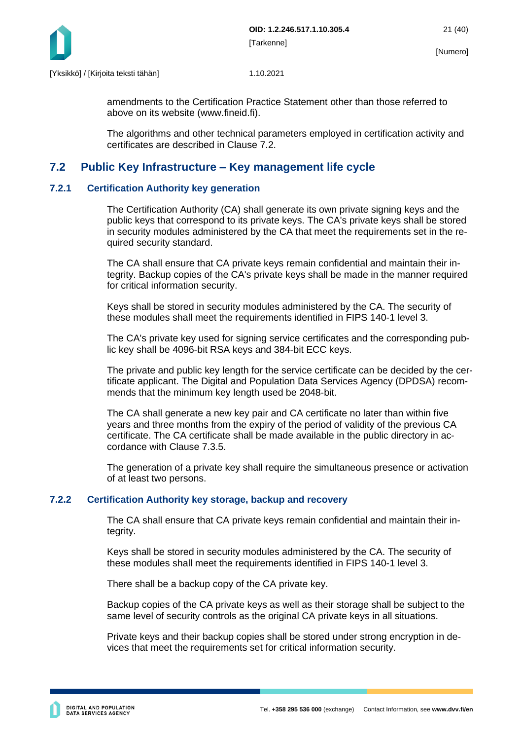

amendments to the Certification Practice Statement other than those referred to above on its website (www.fineid.fi).

The algorithms and other technical parameters employed in certification activity and certificates are described in Clause 7.2.

## <span id="page-21-0"></span>**7.2 Public Key Infrastructure – Key management life cycle**

#### <span id="page-21-1"></span>**7.2.1 Certification Authority key generation**

The Certification Authority (CA) shall generate its own private signing keys and the public keys that correspond to its private keys. The CA's private keys shall be stored in security modules administered by the CA that meet the requirements set in the required security standard.

The CA shall ensure that CA private keys remain confidential and maintain their integrity. Backup copies of the CA's private keys shall be made in the manner required for critical information security.

Keys shall be stored in security modules administered by the CA. The security of these modules shall meet the requirements identified in FIPS 140-1 level 3.

The CA's private key used for signing service certificates and the corresponding public key shall be 4096-bit RSA keys and 384-bit ECC keys.

The private and public key length for the service certificate can be decided by the certificate applicant. The Digital and Population Data Services Agency (DPDSA) recommends that the minimum key length used be 2048-bit.

The CA shall generate a new key pair and CA certificate no later than within five years and three months from the expiry of the period of validity of the previous CA certificate. The CA certificate shall be made available in the public directory in accordance with Clause 7.3.5.

The generation of a private key shall require the simultaneous presence or activation of at least two persons.

#### <span id="page-21-2"></span>**7.2.2 Certification Authority key storage, backup and recovery**

The CA shall ensure that CA private keys remain confidential and maintain their integrity.

Keys shall be stored in security modules administered by the CA. The security of these modules shall meet the requirements identified in FIPS 140-1 level 3.

There shall be a backup copy of the CA private key.

Backup copies of the CA private keys as well as their storage shall be subject to the same level of security controls as the original CA private keys in all situations.

Private keys and their backup copies shall be stored under strong encryption in devices that meet the requirements set for critical information security.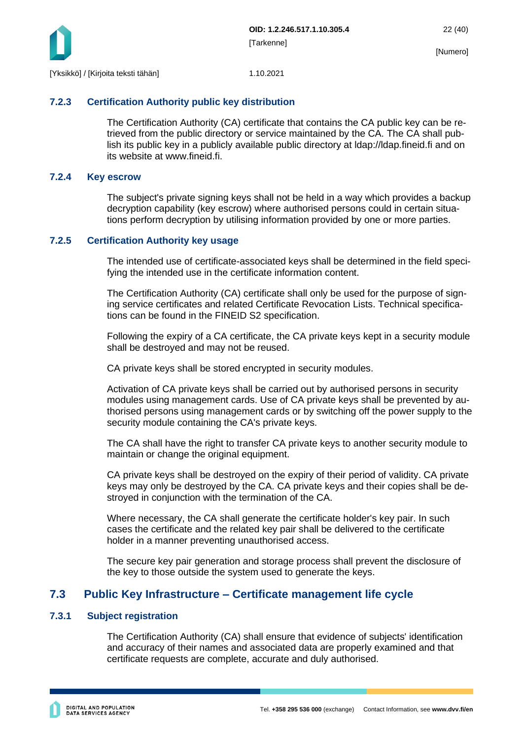

### <span id="page-22-0"></span>**7.2.3 Certification Authority public key distribution**

The Certification Authority (CA) certificate that contains the CA public key can be retrieved from the public directory or service maintained by the CA. The CA shall publish its public key in a publicly available public directory at ldap://ldap.fineid.fi and on its website at www.fineid.fi.

#### <span id="page-22-1"></span>**7.2.4 Key escrow**

The subject's private signing keys shall not be held in a way which provides a backup decryption capability (key escrow) where authorised persons could in certain situations perform decryption by utilising information provided by one or more parties.

#### <span id="page-22-2"></span>**7.2.5 Certification Authority key usage**

The intended use of certificate-associated keys shall be determined in the field specifying the intended use in the certificate information content.

The Certification Authority (CA) certificate shall only be used for the purpose of signing service certificates and related Certificate Revocation Lists. Technical specifications can be found in the FINEID S2 specification.

Following the expiry of a CA certificate, the CA private keys kept in a security module shall be destroyed and may not be reused.

CA private keys shall be stored encrypted in security modules.

Activation of CA private keys shall be carried out by authorised persons in security modules using management cards. Use of CA private keys shall be prevented by authorised persons using management cards or by switching off the power supply to the security module containing the CA's private keys.

The CA shall have the right to transfer CA private keys to another security module to maintain or change the original equipment.

CA private keys shall be destroyed on the expiry of their period of validity. CA private keys may only be destroyed by the CA. CA private keys and their copies shall be destroyed in conjunction with the termination of the CA.

Where necessary, the CA shall generate the certificate holder's key pair. In such cases the certificate and the related key pair shall be delivered to the certificate holder in a manner preventing unauthorised access.

The secure key pair generation and storage process shall prevent the disclosure of the key to those outside the system used to generate the keys.

## <span id="page-22-3"></span>**7.3 Public Key Infrastructure – Certificate management life cycle**

#### <span id="page-22-4"></span>**7.3.1 Subject registration**

The Certification Authority (CA) shall ensure that evidence of subjects' identification and accuracy of their names and associated data are properly examined and that certificate requests are complete, accurate and duly authorised.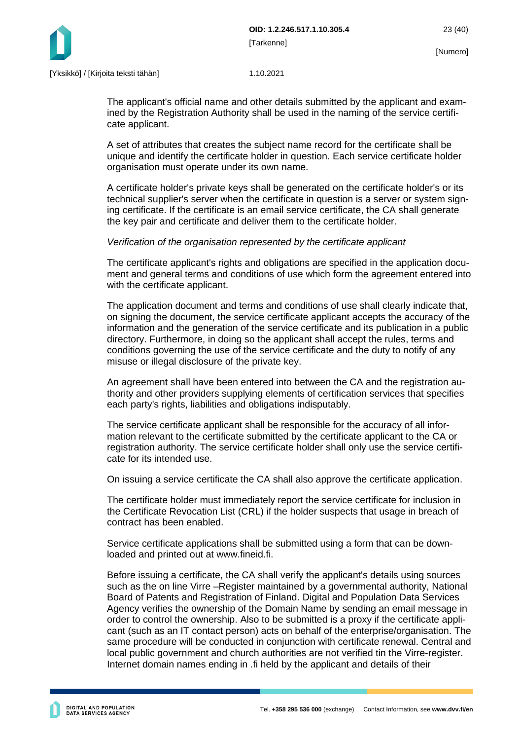

The applicant's official name and other details submitted by the applicant and examined by the Registration Authority shall be used in the naming of the service certificate applicant.

A set of attributes that creates the subject name record for the certificate shall be unique and identify the certificate holder in question. Each service certificate holder organisation must operate under its own name.

A certificate holder's private keys shall be generated on the certificate holder's or its technical supplier's server when the certificate in question is a server or system signing certificate. If the certificate is an email service certificate, the CA shall generate the key pair and certificate and deliver them to the certificate holder.

### *Verification of the organisation represented by the certificate applicant*

The certificate applicant's rights and obligations are specified in the application document and general terms and conditions of use which form the agreement entered into with the certificate applicant.

The application document and terms and conditions of use shall clearly indicate that, on signing the document, the service certificate applicant accepts the accuracy of the information and the generation of the service certificate and its publication in a public directory. Furthermore, in doing so the applicant shall accept the rules, terms and conditions governing the use of the service certificate and the duty to notify of any misuse or illegal disclosure of the private key.

An agreement shall have been entered into between the CA and the registration authority and other providers supplying elements of certification services that specifies each party's rights, liabilities and obligations indisputably.

The service certificate applicant shall be responsible for the accuracy of all information relevant to the certificate submitted by the certificate applicant to the CA or registration authority. The service certificate holder shall only use the service certificate for its intended use.

On issuing a service certificate the CA shall also approve the certificate application.

The certificate holder must immediately report the service certificate for inclusion in the Certificate Revocation List (CRL) if the holder suspects that usage in breach of contract has been enabled.

Service certificate applications shall be submitted using a form that can be downloaded and printed out at www.fineid.fi.

Before issuing a certificate, the CA shall verify the applicant's details using sources such as the on line Virre –Register maintained by a governmental authority, National Board of Patents and Registration of Finland. Digital and Population Data Services Agency verifies the ownership of the Domain Name by sending an email message in order to control the ownership. Also to be submitted is a proxy if the certificate applicant (such as an IT contact person) acts on behalf of the enterprise/organisation. The same procedure will be conducted in conjunction with certificate renewal. Central and local public government and church authorities are not verified tin the Virre-register. Internet domain names ending in .fi held by the applicant and details of their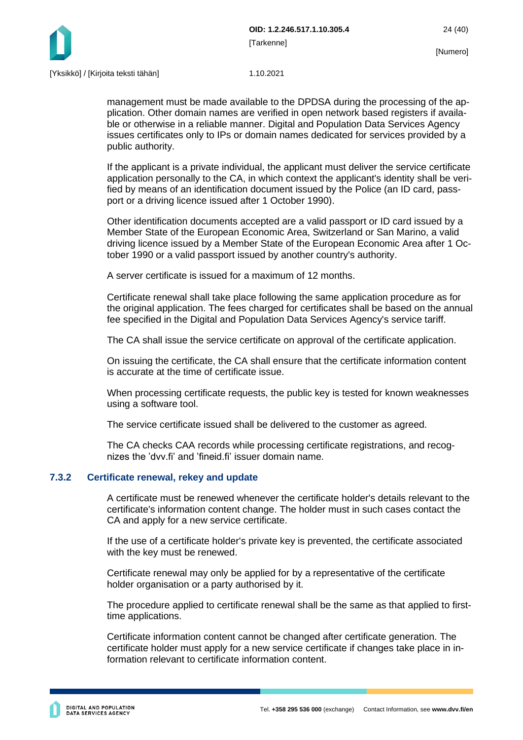

management must be made available to the DPDSA during the processing of the application. Other domain names are verified in open network based registers if available or otherwise in a reliable manner. Digital and Population Data Services Agency issues certificates only to IPs or domain names dedicated for services provided by a public authority.

If the applicant is a private individual, the applicant must deliver the service certificate application personally to the CA, in which context the applicant's identity shall be verified by means of an identification document issued by the Police (an ID card, passport or a driving licence issued after 1 October 1990).

Other identification documents accepted are a valid passport or ID card issued by a Member State of the European Economic Area, Switzerland or San Marino, a valid driving licence issued by a Member State of the European Economic Area after 1 October 1990 or a valid passport issued by another country's authority.

A server certificate is issued for a maximum of 12 months.

Certificate renewal shall take place following the same application procedure as for the original application. The fees charged for certificates shall be based on the annual fee specified in the Digital and Population Data Services Agency's service tariff.

The CA shall issue the service certificate on approval of the certificate application.

On issuing the certificate, the CA shall ensure that the certificate information content is accurate at the time of certificate issue.

When processing certificate requests, the public key is tested for known weaknesses using a software tool.

The service certificate issued shall be delivered to the customer as agreed.

The CA checks CAA records while processing certificate registrations, and recognizes the 'dvv.fi' and 'fineid.fi' issuer domain name.

#### <span id="page-24-0"></span>**7.3.2 Certificate renewal, rekey and update**

A certificate must be renewed whenever the certificate holder's details relevant to the certificate's information content change. The holder must in such cases contact the CA and apply for a new service certificate.

If the use of a certificate holder's private key is prevented, the certificate associated with the key must be renewed.

Certificate renewal may only be applied for by a representative of the certificate holder organisation or a party authorised by it.

The procedure applied to certificate renewal shall be the same as that applied to firsttime applications.

Certificate information content cannot be changed after certificate generation. The certificate holder must apply for a new service certificate if changes take place in information relevant to certificate information content.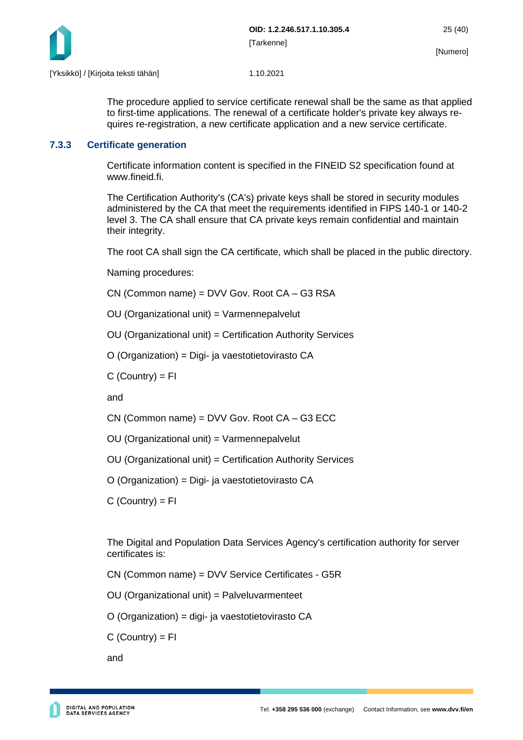

The procedure applied to service certificate renewal shall be the same as that applied to first-time applications. The renewal of a certificate holder's private key always requires re-registration, a new certificate application and a new service certificate.

### <span id="page-25-0"></span>**7.3.3 Certificate generation**

Certificate information content is specified in the FINEID S2 specification found at www.fineid.fi.

The Certification Authority's (CA's) private keys shall be stored in security modules administered by the CA that meet the requirements identified in FIPS 140-1 or 140-2 level 3. The CA shall ensure that CA private keys remain confidential and maintain their integrity.

The root CA shall sign the CA certificate, which shall be placed in the public directory.

Naming procedures:

CN (Common name) = DVV Gov. Root CA – G3 RSA

OU (Organizational unit) = Varmennepalvelut

OU (Organizational unit) = Certification Authority Services

O (Organization) = Digi- ja vaestotietovirasto CA

 $C$  (Country) =  $FI$ 

and

CN (Common name) = DVV Gov. Root CA – G3 ECC

OU (Organizational unit) = Varmennepalvelut

OU (Organizational unit) = Certification Authority Services

O (Organization) = Digi- ja vaestotietovirasto CA

 $C$  (Country) = FI

The Digital and Population Data Services Agency's certification authority for server certificates is:

CN (Common name) = DVV Service Certificates - G5R

OU (Organizational unit) = Palveluvarmenteet

O (Organization) = digi- ja vaestotietovirasto CA

 $C$  (Country) =  $FI$ 

and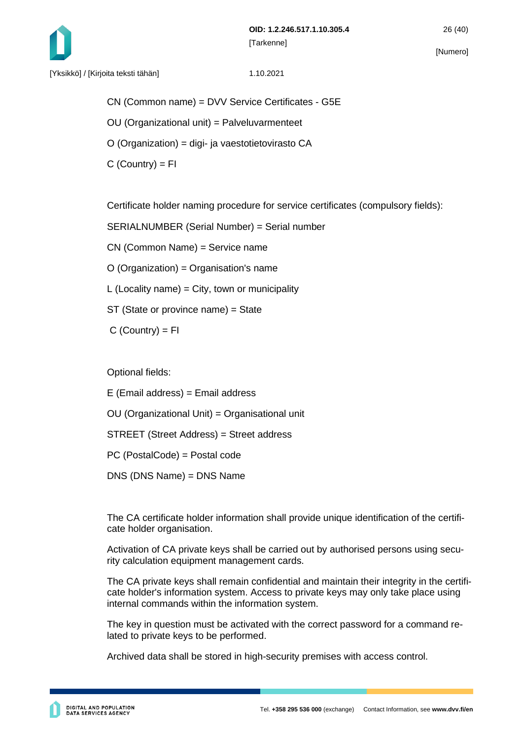

CN (Common name) = DVV Service Certificates - G5E

- OU (Organizational unit) = Palveluvarmenteet
- O (Organization) = digi- ja vaestotietovirasto CA
- $C$  (Country) =  $FI$

Certificate holder naming procedure for service certificates (compulsory fields):

SERIALNUMBER (Serial Number) = Serial number

CN (Common Name) = Service name

O (Organization) = Organisation's name

L (Locality name) = City, town or municipality

ST (State or province name) = State

 $C$  (Country) =  $FI$ 

Optional fields:

E (Email address) = Email address

OU (Organizational Unit) = Organisational unit

STREET (Street Address) = Street address

PC (PostalCode) = Postal code

DNS (DNS Name) = DNS Name

The CA certificate holder information shall provide unique identification of the certificate holder organisation.

Activation of CA private keys shall be carried out by authorised persons using security calculation equipment management cards.

The CA private keys shall remain confidential and maintain their integrity in the certificate holder's information system. Access to private keys may only take place using internal commands within the information system.

The key in question must be activated with the correct password for a command related to private keys to be performed.

Archived data shall be stored in high-security premises with access control.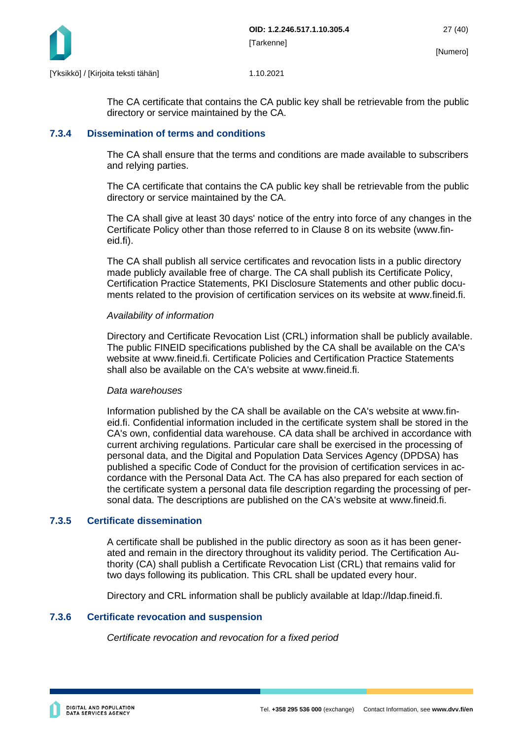

The CA certificate that contains the CA public key shall be retrievable from the public directory or service maintained by the CA.

#### <span id="page-27-0"></span>**7.3.4 Dissemination of terms and conditions**

The CA shall ensure that the terms and conditions are made available to subscribers and relying parties.

The CA certificate that contains the CA public key shall be retrievable from the public directory or service maintained by the CA.

The CA shall give at least 30 days' notice of the entry into force of any changes in the Certificate Policy other than those referred to in Clause 8 on its website (www.fineid.fi).

The CA shall publish all service certificates and revocation lists in a public directory made publicly available free of charge. The CA shall publish its Certificate Policy, Certification Practice Statements, PKI Disclosure Statements and other public documents related to the provision of certification services on its website at www.fineid.fi.

#### *Availability of information*

Directory and Certificate Revocation List (CRL) information shall be publicly available. The public FINEID specifications published by the CA shall be available on the CA's website at www.fineid.fi. Certificate Policies and Certification Practice Statements shall also be available on the CA's website at www.fineid.fi.

#### *Data warehouses*

Information published by the CA shall be available on the CA's website at www.fineid.fi. Confidential information included in the certificate system shall be stored in the CA's own, confidential data warehouse. CA data shall be archived in accordance with current archiving regulations. Particular care shall be exercised in the processing of personal data, and the Digital and Population Data Services Agency (DPDSA) has published a specific Code of Conduct for the provision of certification services in accordance with the Personal Data Act. The CA has also prepared for each section of the certificate system a personal data file description regarding the processing of personal data. The descriptions are published on the CA's website at www.fineid.fi.

#### <span id="page-27-1"></span>**7.3.5 Certificate dissemination**

A certificate shall be published in the public directory as soon as it has been generated and remain in the directory throughout its validity period. The Certification Authority (CA) shall publish a Certificate Revocation List (CRL) that remains valid for two days following its publication. This CRL shall be updated every hour.

Directory and CRL information shall be publicly available at ldap://ldap.fineid.fi.

#### <span id="page-27-2"></span>**7.3.6 Certificate revocation and suspension**

*Certificate revocation and revocation for a fixed period*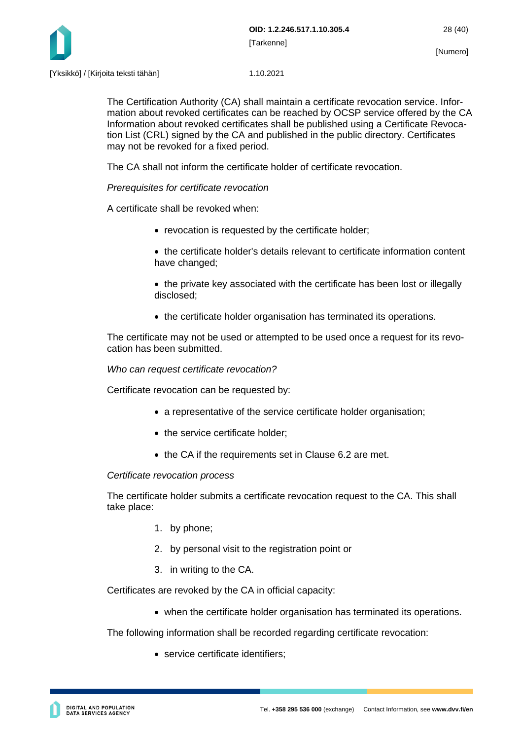

The Certification Authority (CA) shall maintain a certificate revocation service. Information about revoked certificates can be reached by OCSP service offered by the CA Information about revoked certificates shall be published using a Certificate Revocation List (CRL) signed by the CA and published in the public directory. Certificates may not be revoked for a fixed period.

The CA shall not inform the certificate holder of certificate revocation.

### *Prerequisites for certificate revocation*

A certificate shall be revoked when:

- revocation is requested by the certificate holder:
- the certificate holder's details relevant to certificate information content have changed;
- the private key associated with the certificate has been lost or illegally disclosed;
- the certificate holder organisation has terminated its operations.

The certificate may not be used or attempted to be used once a request for its revocation has been submitted.

*Who can request certificate revocation?*

Certificate revocation can be requested by:

- a representative of the service certificate holder organisation;
- the service certificate holder:
- the CA if the requirements set in Clause 6.2 are met.

#### *Certificate revocation process*

The certificate holder submits a certificate revocation request to the CA. This shall take place:

- 1. by phone;
- 2. by personal visit to the registration point or
- 3. in writing to the CA.

Certificates are revoked by the CA in official capacity:

• when the certificate holder organisation has terminated its operations.

The following information shall be recorded regarding certificate revocation:

• service certificate identifiers;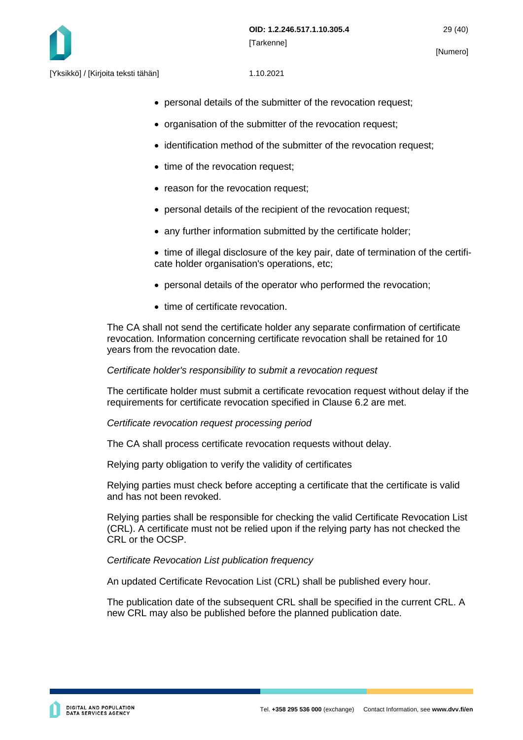

- personal details of the submitter of the revocation request;
- organisation of the submitter of the revocation request;
- identification method of the submitter of the revocation request;
- time of the revocation request;
- reason for the revocation request;
- personal details of the recipient of the revocation request:
- any further information submitted by the certificate holder;
- time of illegal disclosure of the key pair, date of termination of the certificate holder organisation's operations, etc;
- personal details of the operator who performed the revocation;
- time of certificate revocation.

The CA shall not send the certificate holder any separate confirmation of certificate revocation. Information concerning certificate revocation shall be retained for 10 years from the revocation date.

#### *Certificate holder's responsibility to submit a revocation request*

The certificate holder must submit a certificate revocation request without delay if the requirements for certificate revocation specified in Clause 6.2 are met.

#### *Certificate revocation request processing period*

The CA shall process certificate revocation requests without delay.

Relying party obligation to verify the validity of certificates

Relying parties must check before accepting a certificate that the certificate is valid and has not been revoked.

Relying parties shall be responsible for checking the valid Certificate Revocation List (CRL). A certificate must not be relied upon if the relying party has not checked the CRL or the OCSP.

#### *Certificate Revocation List publication frequency*

An updated Certificate Revocation List (CRL) shall be published every hour.

The publication date of the subsequent CRL shall be specified in the current CRL. A new CRL may also be published before the planned publication date.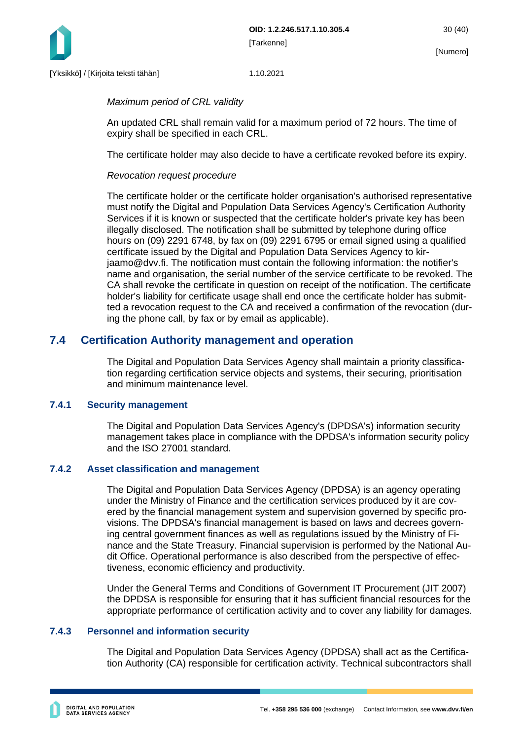

#### *Maximum period of CRL validity*

An updated CRL shall remain valid for a maximum period of 72 hours. The time of expiry shall be specified in each CRL.

The certificate holder may also decide to have a certificate revoked before its expiry.

#### *Revocation request procedure*

The certificate holder or the certificate holder organisation's authorised representative must notify the Digital and Population Data Services Agency's Certification Authority Services if it is known or suspected that the certificate holder's private key has been illegally disclosed. The notification shall be submitted by telephone during office hours on (09) 2291 6748, by fax on (09) 2291 6795 or email signed using a qualified certificate issued by the Digital and Population Data Services Agency to kirjaamo@dvv.fi. The notification must contain the following information: the notifier's name and organisation, the serial number of the service certificate to be revoked. The CA shall revoke the certificate in question on receipt of the notification. The certificate holder's liability for certificate usage shall end once the certificate holder has submitted a revocation request to the CA and received a confirmation of the revocation (during the phone call, by fax or by email as applicable).

## <span id="page-30-0"></span>**7.4 Certification Authority management and operation**

The Digital and Population Data Services Agency shall maintain a priority classification regarding certification service objects and systems, their securing, prioritisation and minimum maintenance level.

#### <span id="page-30-1"></span>**7.4.1 Security management**

The Digital and Population Data Services Agency's (DPDSA's) information security management takes place in compliance with the DPDSA's information security policy and the ISO 27001 standard.

#### <span id="page-30-2"></span>**7.4.2 Asset classification and management**

The Digital and Population Data Services Agency (DPDSA) is an agency operating under the Ministry of Finance and the certification services produced by it are covered by the financial management system and supervision governed by specific provisions. The DPDSA's financial management is based on laws and decrees governing central government finances as well as regulations issued by the Ministry of Finance and the State Treasury. Financial supervision is performed by the National Audit Office. Operational performance is also described from the perspective of effectiveness, economic efficiency and productivity.

Under the General Terms and Conditions of Government IT Procurement (JIT 2007) the DPDSA is responsible for ensuring that it has sufficient financial resources for the appropriate performance of certification activity and to cover any liability for damages.

#### <span id="page-30-3"></span>**7.4.3 Personnel and information security**

The Digital and Population Data Services Agency (DPDSA) shall act as the Certification Authority (CA) responsible for certification activity. Technical subcontractors shall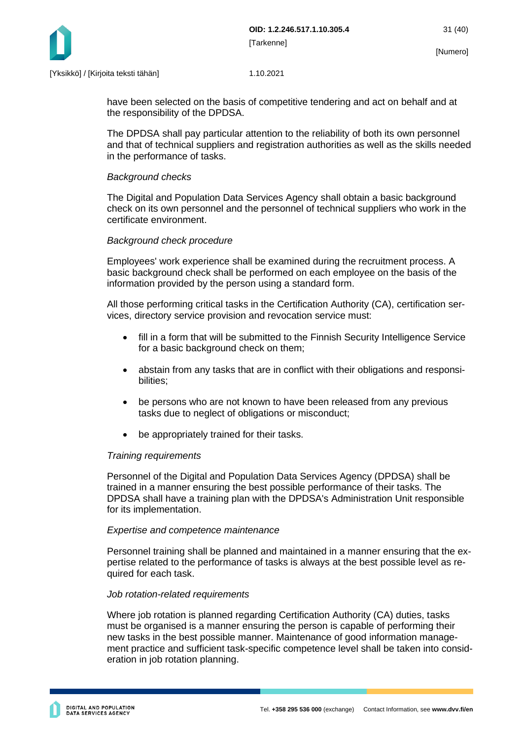

have been selected on the basis of competitive tendering and act on behalf and at the responsibility of the DPDSA.

The DPDSA shall pay particular attention to the reliability of both its own personnel and that of technical suppliers and registration authorities as well as the skills needed in the performance of tasks.

#### *Background checks*

The Digital and Population Data Services Agency shall obtain a basic background check on its own personnel and the personnel of technical suppliers who work in the certificate environment.

#### *Background check procedure*

Employees' work experience shall be examined during the recruitment process. A basic background check shall be performed on each employee on the basis of the information provided by the person using a standard form.

All those performing critical tasks in the Certification Authority (CA), certification services, directory service provision and revocation service must:

- fill in a form that will be submitted to the Finnish Security Intelligence Service for a basic background check on them;
- abstain from any tasks that are in conflict with their obligations and responsibilities;
- be persons who are not known to have been released from any previous tasks due to neglect of obligations or misconduct;
- be appropriately trained for their tasks.

#### *Training requirements*

Personnel of the Digital and Population Data Services Agency (DPDSA) shall be trained in a manner ensuring the best possible performance of their tasks. The DPDSA shall have a training plan with the DPDSA's Administration Unit responsible for its implementation.

#### *Expertise and competence maintenance*

Personnel training shall be planned and maintained in a manner ensuring that the expertise related to the performance of tasks is always at the best possible level as required for each task.

#### *Job rotation-related requirements*

Where job rotation is planned regarding Certification Authority (CA) duties, tasks must be organised is a manner ensuring the person is capable of performing their new tasks in the best possible manner. Maintenance of good information management practice and sufficient task-specific competence level shall be taken into consideration in job rotation planning.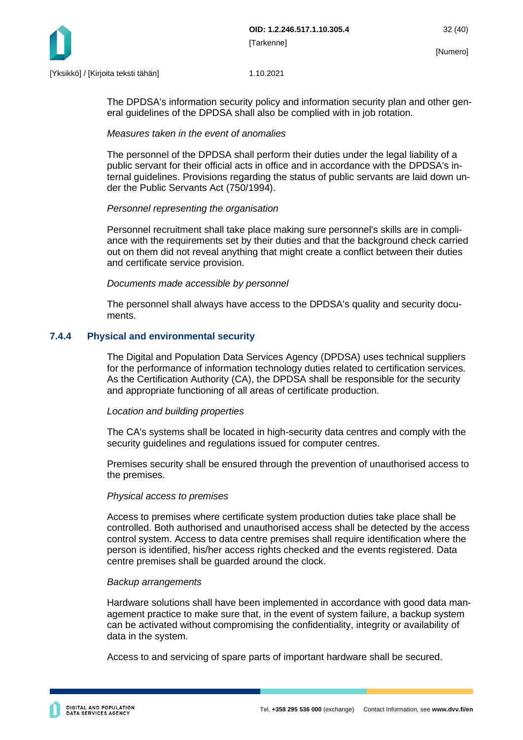

The DPDSA's information security policy and information security plan and other general guidelines of the DPDSA shall also be complied with in job rotation.

#### *Measures taken in the event of anomalies*

The personnel of the DPDSA shall perform their duties under the legal liability of a public servant for their official acts in office and in accordance with the DPDSA's internal guidelines. Provisions regarding the status of public servants are laid down under the Public Servants Act (750/1994).

#### *Personnel representing the organisation*

Personnel recruitment shall take place making sure personnel's skills are in compliance with the requirements set by their duties and that the background check carried out on them did not reveal anything that might create a conflict between their duties and certificate service provision.

#### *Documents made accessible by personnel*

The personnel shall always have access to the DPDSA's quality and security documents.

#### <span id="page-32-0"></span>**7.4.4 Physical and environmental security**

The Digital and Population Data Services Agency (DPDSA) uses technical suppliers for the performance of information technology duties related to certification services. As the Certification Authority (CA), the DPDSA shall be responsible for the security and appropriate functioning of all areas of certificate production.

#### *Location and building properties*

The CA's systems shall be located in high-security data centres and comply with the security guidelines and regulations issued for computer centres.

Premises security shall be ensured through the prevention of unauthorised access to the premises.

#### *Physical access to premises*

Access to premises where certificate system production duties take place shall be controlled. Both authorised and unauthorised access shall be detected by the access control system. Access to data centre premises shall require identification where the person is identified, his/her access rights checked and the events registered. Data centre premises shall be guarded around the clock.

#### *Backup arrangements*

Hardware solutions shall have been implemented in accordance with good data management practice to make sure that, in the event of system failure, a backup system can be activated without compromising the confidentiality, integrity or availability of data in the system.

Access to and servicing of spare parts of important hardware shall be secured.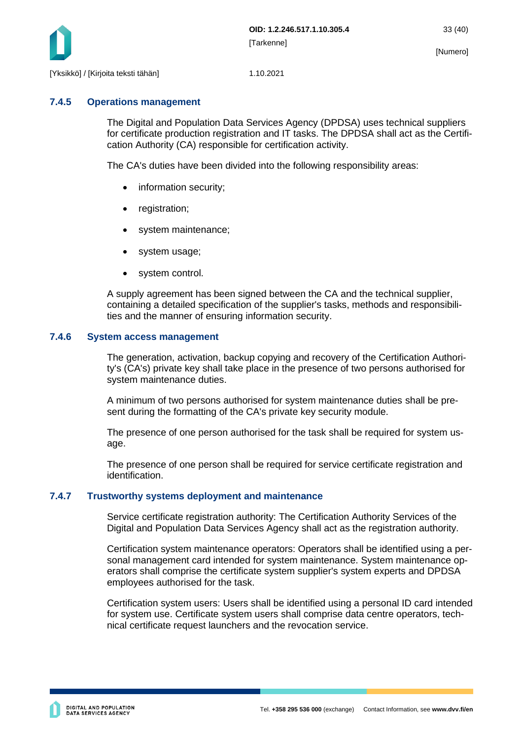

#### <span id="page-33-0"></span>**7.4.5 Operations management**

The Digital and Population Data Services Agency (DPDSA) uses technical suppliers for certificate production registration and IT tasks. The DPDSA shall act as the Certification Authority (CA) responsible for certification activity.

The CA's duties have been divided into the following responsibility areas:

- information security;
- registration;
- system maintenance;
- system usage;
- system control.

A supply agreement has been signed between the CA and the technical supplier, containing a detailed specification of the supplier's tasks, methods and responsibilities and the manner of ensuring information security.

#### <span id="page-33-1"></span>**7.4.6 System access management**

The generation, activation, backup copying and recovery of the Certification Authority's (CA's) private key shall take place in the presence of two persons authorised for system maintenance duties.

A minimum of two persons authorised for system maintenance duties shall be present during the formatting of the CA's private key security module.

The presence of one person authorised for the task shall be required for system usage.

The presence of one person shall be required for service certificate registration and identification.

#### <span id="page-33-2"></span>**7.4.7 Trustworthy systems deployment and maintenance**

Service certificate registration authority: The Certification Authority Services of the Digital and Population Data Services Agency shall act as the registration authority.

Certification system maintenance operators: Operators shall be identified using a personal management card intended for system maintenance. System maintenance operators shall comprise the certificate system supplier's system experts and DPDSA employees authorised for the task.

Certification system users: Users shall be identified using a personal ID card intended for system use. Certificate system users shall comprise data centre operators, technical certificate request launchers and the revocation service.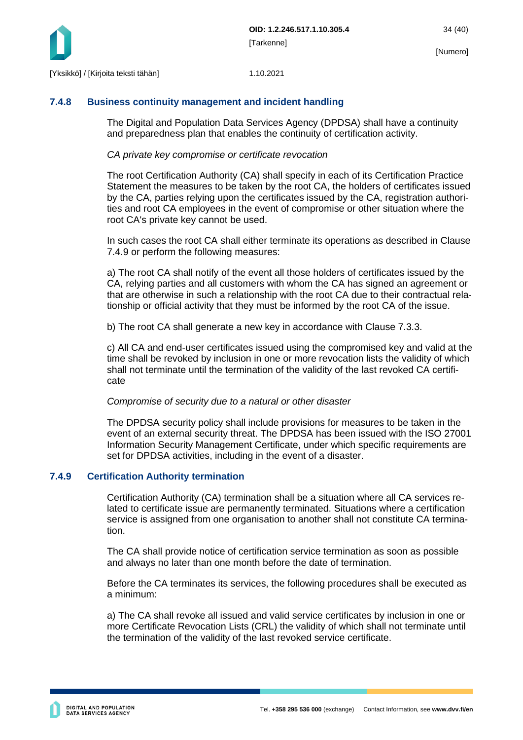

## <span id="page-34-0"></span>**7.4.8 Business continuity management and incident handling**

The Digital and Population Data Services Agency (DPDSA) shall have a continuity and preparedness plan that enables the continuity of certification activity.

## *CA private key compromise or certificate revocation*

The root Certification Authority (CA) shall specify in each of its Certification Practice Statement the measures to be taken by the root CA, the holders of certificates issued by the CA, parties relying upon the certificates issued by the CA, registration authorities and root CA employees in the event of compromise or other situation where the root CA's private key cannot be used.

In such cases the root CA shall either terminate its operations as described in Clause 7.4.9 or perform the following measures:

a) The root CA shall notify of the event all those holders of certificates issued by the CA, relying parties and all customers with whom the CA has signed an agreement or that are otherwise in such a relationship with the root CA due to their contractual relationship or official activity that they must be informed by the root CA of the issue.

b) The root CA shall generate a new key in accordance with Clause 7.3.3.

c) All CA and end-user certificates issued using the compromised key and valid at the time shall be revoked by inclusion in one or more revocation lists the validity of which shall not terminate until the termination of the validity of the last revoked CA certificate

## *Compromise of security due to a natural or other disaster*

The DPDSA security policy shall include provisions for measures to be taken in the event of an external security threat. The DPDSA has been issued with the ISO 27001 Information Security Management Certificate, under which specific requirements are set for DPDSA activities, including in the event of a disaster.

## <span id="page-34-1"></span>**7.4.9 Certification Authority termination**

Certification Authority (CA) termination shall be a situation where all CA services related to certificate issue are permanently terminated. Situations where a certification service is assigned from one organisation to another shall not constitute CA termination.

The CA shall provide notice of certification service termination as soon as possible and always no later than one month before the date of termination.

Before the CA terminates its services, the following procedures shall be executed as a minimum:

a) The CA shall revoke all issued and valid service certificates by inclusion in one or more Certificate Revocation Lists (CRL) the validity of which shall not terminate until the termination of the validity of the last revoked service certificate.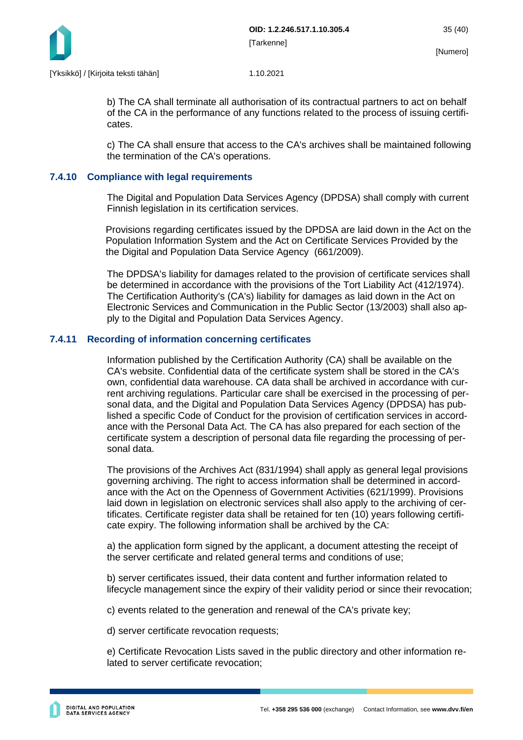

b) The CA shall terminate all authorisation of its contractual partners to act on behalf of the CA in the performance of any functions related to the process of issuing certificates.

c) The CA shall ensure that access to the CA's archives shall be maintained following the termination of the CA's operations.

#### <span id="page-35-0"></span>**7.4.10 Compliance with legal requirements**

The Digital and Population Data Services Agency (DPDSA) shall comply with current Finnish legislation in its certification services.

Provisions regarding certificates issued by the DPDSA are laid down in the Act on the Population Information System and the Act on Certificate Services Provided by the the Digital and Population Data Service Agency (661/2009).

The DPDSA's liability for damages related to the provision of certificate services shall be determined in accordance with the provisions of the Tort Liability Act (412/1974). The Certification Authority's (CA's) liability for damages as laid down in the Act on Electronic Services and Communication in the Public Sector (13/2003) shall also apply to the Digital and Population Data Services Agency.

#### <span id="page-35-1"></span>**7.4.11 Recording of information concerning certificates**

Information published by the Certification Authority (CA) shall be available on the CA's website. Confidential data of the certificate system shall be stored in the CA's own, confidential data warehouse. CA data shall be archived in accordance with current archiving regulations. Particular care shall be exercised in the processing of personal data, and the Digital and Population Data Services Agency (DPDSA) has published a specific Code of Conduct for the provision of certification services in accordance with the Personal Data Act. The CA has also prepared for each section of the certificate system a description of personal data file regarding the processing of personal data.

The provisions of the Archives Act (831/1994) shall apply as general legal provisions governing archiving. The right to access information shall be determined in accordance with the Act on the Openness of Government Activities (621/1999). Provisions laid down in legislation on electronic services shall also apply to the archiving of certificates. Certificate register data shall be retained for ten (10) years following certificate expiry. The following information shall be archived by the CA:

a) the application form signed by the applicant, a document attesting the receipt of the server certificate and related general terms and conditions of use;

b) server certificates issued, their data content and further information related to lifecycle management since the expiry of their validity period or since their revocation;

c) events related to the generation and renewal of the CA's private key;

d) server certificate revocation requests;

e) Certificate Revocation Lists saved in the public directory and other information related to server certificate revocation;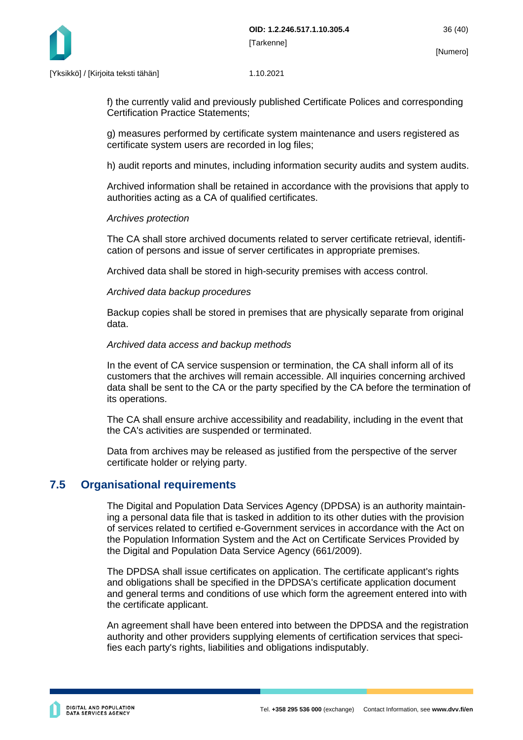

f) the currently valid and previously published Certificate Polices and corresponding Certification Practice Statements;

g) measures performed by certificate system maintenance and users registered as certificate system users are recorded in log files;

h) audit reports and minutes, including information security audits and system audits.

Archived information shall be retained in accordance with the provisions that apply to authorities acting as a CA of qualified certificates.

#### *Archives protection*

The CA shall store archived documents related to server certificate retrieval, identification of persons and issue of server certificates in appropriate premises.

Archived data shall be stored in high-security premises with access control.

#### *Archived data backup procedures*

Backup copies shall be stored in premises that are physically separate from original data.

#### *Archived data access and backup methods*

In the event of CA service suspension or termination, the CA shall inform all of its customers that the archives will remain accessible. All inquiries concerning archived data shall be sent to the CA or the party specified by the CA before the termination of its operations.

The CA shall ensure archive accessibility and readability, including in the event that the CA's activities are suspended or terminated.

Data from archives may be released as justified from the perspective of the server certificate holder or relying party.

## <span id="page-36-0"></span>**7.5 Organisational requirements**

The Digital and Population Data Services Agency (DPDSA) is an authority maintaining a personal data file that is tasked in addition to its other duties with the provision of services related to certified e-Government services in accordance with the Act on the Population Information System and the Act on Certificate Services Provided by the Digital and Population Data Service Agency (661/2009).

The DPDSA shall issue certificates on application. The certificate applicant's rights and obligations shall be specified in the DPDSA's certificate application document and general terms and conditions of use which form the agreement entered into with the certificate applicant.

An agreement shall have been entered into between the DPDSA and the registration authority and other providers supplying elements of certification services that specifies each party's rights, liabilities and obligations indisputably.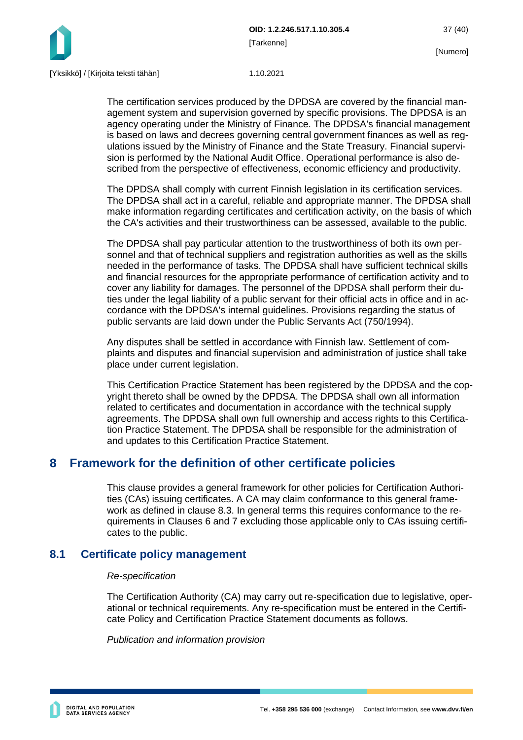

The certification services produced by the DPDSA are covered by the financial management system and supervision governed by specific provisions. The DPDSA is an agency operating under the Ministry of Finance. The DPDSA's financial management is based on laws and decrees governing central government finances as well as regulations issued by the Ministry of Finance and the State Treasury. Financial supervision is performed by the National Audit Office. Operational performance is also described from the perspective of effectiveness, economic efficiency and productivity.

The DPDSA shall comply with current Finnish legislation in its certification services. The DPDSA shall act in a careful, reliable and appropriate manner. The DPDSA shall make information regarding certificates and certification activity, on the basis of which the CA's activities and their trustworthiness can be assessed, available to the public.

The DPDSA shall pay particular attention to the trustworthiness of both its own personnel and that of technical suppliers and registration authorities as well as the skills needed in the performance of tasks. The DPDSA shall have sufficient technical skills and financial resources for the appropriate performance of certification activity and to cover any liability for damages. The personnel of the DPDSA shall perform their duties under the legal liability of a public servant for their official acts in office and in accordance with the DPDSA's internal guidelines. Provisions regarding the status of public servants are laid down under the Public Servants Act (750/1994).

Any disputes shall be settled in accordance with Finnish law. Settlement of complaints and disputes and financial supervision and administration of justice shall take place under current legislation.

This Certification Practice Statement has been registered by the DPDSA and the copyright thereto shall be owned by the DPDSA. The DPDSA shall own all information related to certificates and documentation in accordance with the technical supply agreements. The DPDSA shall own full ownership and access rights to this Certification Practice Statement. The DPDSA shall be responsible for the administration of and updates to this Certification Practice Statement.

## <span id="page-37-0"></span>**8 Framework for the definition of other certificate policies**

This clause provides a general framework for other policies for Certification Authorities (CAs) issuing certificates. A CA may claim conformance to this general framework as defined in clause 8.3. In general terms this requires conformance to the requirements in Clauses 6 and 7 excluding those applicable only to CAs issuing certificates to the public.

## <span id="page-37-1"></span>**8.1 Certificate policy management**

#### *Re-specification*

The Certification Authority (CA) may carry out re-specification due to legislative, operational or technical requirements. Any re-specification must be entered in the Certificate Policy and Certification Practice Statement documents as follows.

*Publication and information provision*

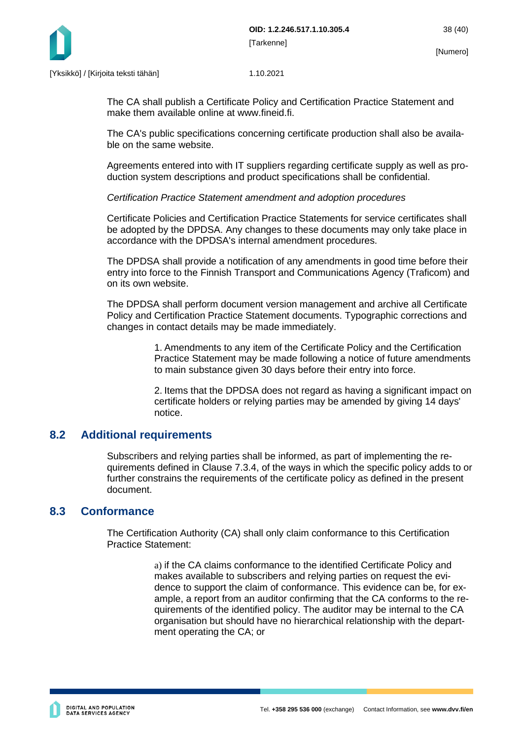

The CA shall publish a Certificate Policy and Certification Practice Statement and make them available online at www.fineid.fi.

The CA's public specifications concerning certificate production shall also be available on the same website.

Agreements entered into with IT suppliers regarding certificate supply as well as production system descriptions and product specifications shall be confidential.

#### *Certification Practice Statement amendment and adoption procedures*

Certificate Policies and Certification Practice Statements for service certificates shall be adopted by the DPDSA. Any changes to these documents may only take place in accordance with the DPDSA's internal amendment procedures.

The DPDSA shall provide a notification of any amendments in good time before their entry into force to the Finnish Transport and Communications Agency (Traficom) and on its own website.

The DPDSA shall perform document version management and archive all Certificate Policy and Certification Practice Statement documents. Typographic corrections and changes in contact details may be made immediately.

> 1. Amendments to any item of the Certificate Policy and the Certification Practice Statement may be made following a notice of future amendments to main substance given 30 days before their entry into force.

> 2. Items that the DPDSA does not regard as having a significant impact on certificate holders or relying parties may be amended by giving 14 days' notice.

## <span id="page-38-0"></span>**8.2 Additional requirements**

Subscribers and relying parties shall be informed, as part of implementing the requirements defined in Clause 7.3.4, of the ways in which the specific policy adds to or further constrains the requirements of the certificate policy as defined in the present document.

## <span id="page-38-1"></span>**8.3 Conformance**

The Certification Authority (CA) shall only claim conformance to this Certification Practice Statement:

> a) if the CA claims conformance to the identified Certificate Policy and makes available to subscribers and relying parties on request the evidence to support the claim of conformance. This evidence can be, for example, a report from an auditor confirming that the CA conforms to the requirements of the identified policy. The auditor may be internal to the CA organisation but should have no hierarchical relationship with the department operating the CA; or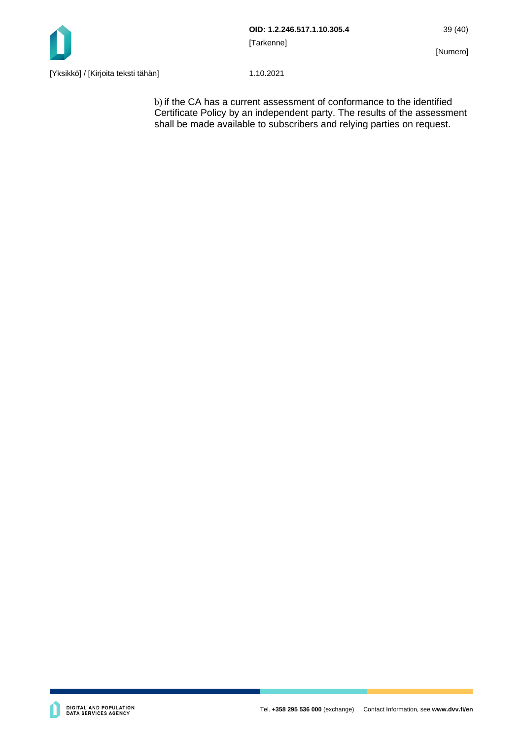

b) if the CA has a current assessment of conformance to the identified Certificate Policy by an independent party. The results of the assessment shall be made available to subscribers and relying parties on request.